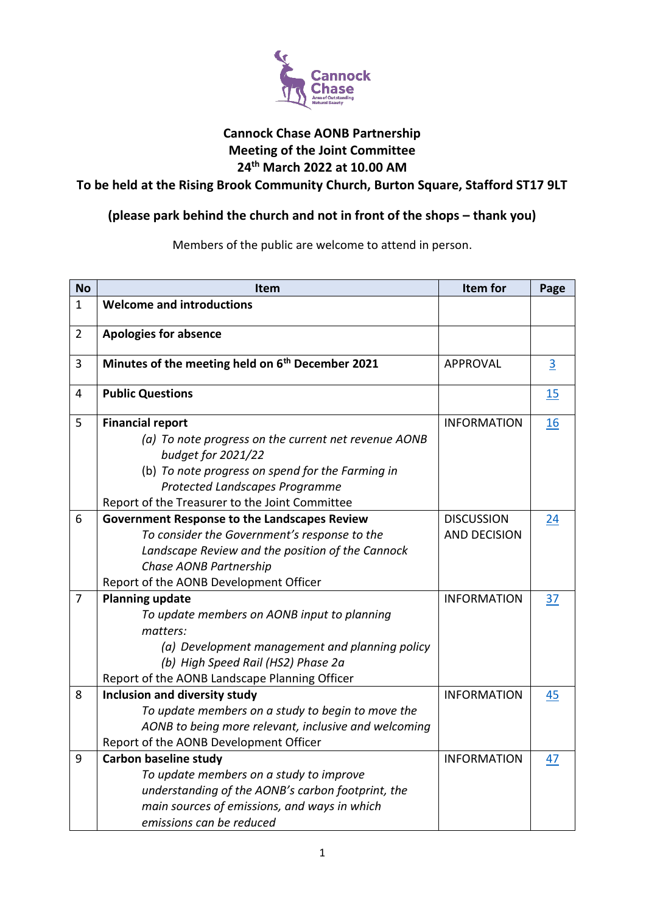

### **Cannock Chase AONB Partnership Meeting of the Joint Committee 24th March 2022 at 10.00 AM**

**To be held at the Rising Brook Community Church, Burton Square, Stafford ST17 9LT**

# **(please park behind the church and not in front of the shops – thank you)**

Members of the public are welcome to attend in person.

| <b>No</b>      | Item                                                         | Item for            | Page           |
|----------------|--------------------------------------------------------------|---------------------|----------------|
| 1              | <b>Welcome and introductions</b>                             |                     |                |
| $\overline{2}$ | <b>Apologies for absence</b>                                 |                     |                |
| 3              | Minutes of the meeting held on 6 <sup>th</sup> December 2021 | <b>APPROVAL</b>     | $\overline{3}$ |
| 4              | <b>Public Questions</b>                                      |                     | 15             |
| 5              | <b>Financial report</b>                                      | <b>INFORMATION</b>  | 16             |
|                | (a) To note progress on the current net revenue AONB         |                     |                |
|                | budget for 2021/22                                           |                     |                |
|                | (b) To note progress on spend for the Farming in             |                     |                |
|                | Protected Landscapes Programme                               |                     |                |
|                | Report of the Treasurer to the Joint Committee               |                     |                |
| 6              | <b>Government Response to the Landscapes Review</b>          | <b>DISCUSSION</b>   | 24             |
|                | To consider the Government's response to the                 | <b>AND DECISION</b> |                |
|                | Landscape Review and the position of the Cannock             |                     |                |
|                | Chase AONB Partnership                                       |                     |                |
|                | Report of the AONB Development Officer                       |                     |                |
| 7              | <b>Planning update</b>                                       | <b>INFORMATION</b>  | 37             |
|                | To update members on AONB input to planning                  |                     |                |
|                | matters:                                                     |                     |                |
|                | (a) Development management and planning policy               |                     |                |
|                | (b) High Speed Rail (HS2) Phase 2a                           |                     |                |
|                | Report of the AONB Landscape Planning Officer                |                     |                |
| 8              | Inclusion and diversity study                                | <b>INFORMATION</b>  | 45             |
|                | To update members on a study to begin to move the            |                     |                |
|                | AONB to being more relevant, inclusive and welcoming         |                     |                |
|                | Report of the AONB Development Officer                       |                     |                |
| 9              | <b>Carbon baseline study</b>                                 | <b>INFORMATION</b>  | 47             |
|                | To update members on a study to improve                      |                     |                |
|                | understanding of the AONB's carbon footprint, the            |                     |                |
|                | main sources of emissions, and ways in which                 |                     |                |
|                | emissions can be reduced                                     |                     |                |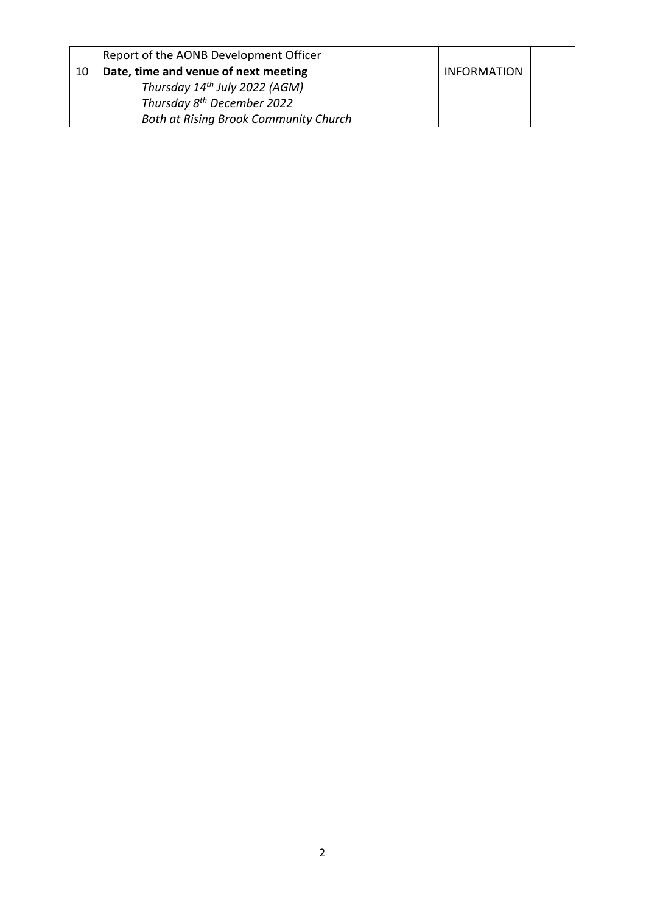|    | Report of the AONB Development Officer    |                    |  |
|----|-------------------------------------------|--------------------|--|
| 10 | Date, time and venue of next meeting      | <b>INFORMATION</b> |  |
|    | Thursday 14 <sup>th</sup> July 2022 (AGM) |                    |  |
|    | Thursday 8 <sup>th</sup> December 2022    |                    |  |
|    | Both at Rising Brook Community Church     |                    |  |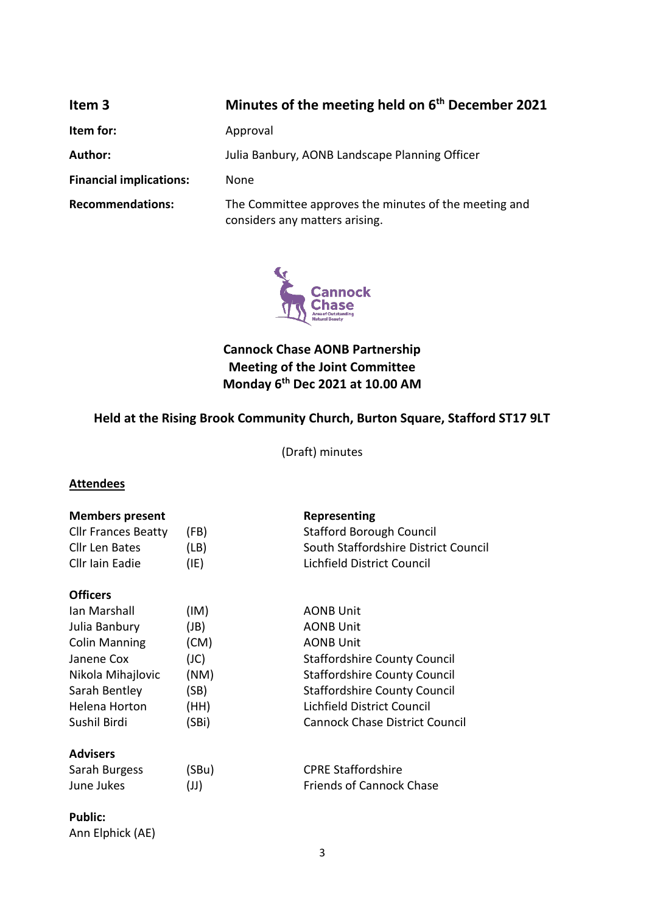<span id="page-2-0"></span>

| Item 3                         | Minutes of the meeting held on 6 <sup>th</sup> December 2021                            |  |  |
|--------------------------------|-----------------------------------------------------------------------------------------|--|--|
| Item for:                      | Approval                                                                                |  |  |
| <b>Author:</b>                 | Julia Banbury, AONB Landscape Planning Officer                                          |  |  |
| <b>Financial implications:</b> | None                                                                                    |  |  |
| <b>Recommendations:</b>        | The Committee approves the minutes of the meeting and<br>considers any matters arising. |  |  |



**Cannock Chase AONB Partnership Meeting of the Joint Committee Monday 6th Dec 2021 at 10.00 AM**

# **Held at the Rising Brook Community Church, Burton Square, Stafford ST17 9LT**

(Draft) minutes

### **Attendees**

| <b>Members present</b><br><b>Cllr Frances Beatty</b> | (FB)         | Representing<br><b>Stafford Borough Council</b>                    |
|------------------------------------------------------|--------------|--------------------------------------------------------------------|
| Cllr Len Bates<br>Cllr Iain Eadie                    | (LB)<br>(IE) | South Staffordshire District Council<br>Lichfield District Council |
| <b>Officers</b>                                      |              |                                                                    |
| lan Marshall                                         | (IM)         | <b>AONB Unit</b>                                                   |
| Julia Banbury                                        | (JB)         | <b>AONB Unit</b>                                                   |
| <b>Colin Manning</b>                                 | (CM)         | <b>AONB Unit</b>                                                   |
| Janene Cox                                           | (JC)         | <b>Staffordshire County Council</b>                                |
| Nikola Mihajlovic                                    | (NM)         | <b>Staffordshire County Council</b>                                |
| Sarah Bentley                                        | (SB)         | <b>Staffordshire County Council</b>                                |
| Helena Horton                                        | (HH)         | Lichfield District Council                                         |
| Sushil Birdi                                         | (SBi)        | <b>Cannock Chase District Council</b>                              |
| <b>Advisers</b>                                      |              |                                                                    |
| Sarah Burgess                                        | (SBu)        | <b>CPRE Staffordshire</b>                                          |
| June Jukes                                           | $(\cup)$     | <b>Friends of Cannock Chase</b>                                    |

### **Public:**

Ann Elphick (AE)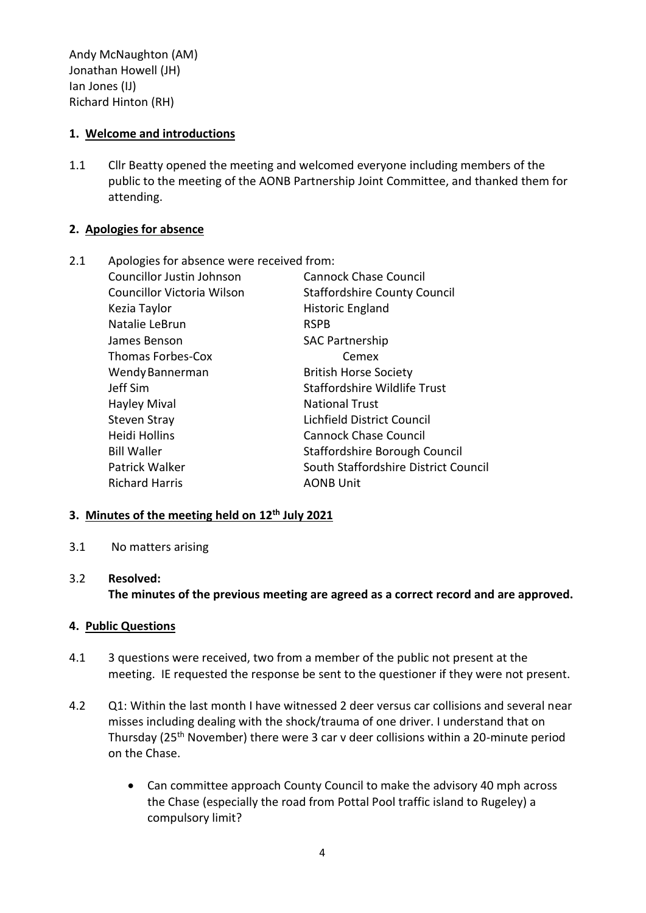Andy McNaughton (AM) Jonathan Howell (JH) Ian Jones (IJ) Richard Hinton (RH)

### **1. Welcome and introductions**

1.1 Cllr Beatty opened the meeting and welcomed everyone including members of the public to the meeting of the AONB Partnership Joint Committee, and thanked them for attending.

### **2. Apologies for absence**

| 2.1 | Apologies for absence were received from: |                                      |
|-----|-------------------------------------------|--------------------------------------|
|     | Councillor Justin Johnson                 | <b>Cannock Chase Council</b>         |
|     | Councillor Victoria Wilson                | <b>Staffordshire County Council</b>  |
|     | Kezia Taylor                              | <b>Historic England</b>              |
|     | Natalie LeBrun                            | <b>RSPB</b>                          |
|     | James Benson                              | <b>SAC Partnership</b>               |
|     | <b>Thomas Forbes-Cox</b>                  | Cemex                                |
|     | Wendy Bannerman                           | <b>British Horse Society</b>         |
|     | Jeff Sim                                  | <b>Staffordshire Wildlife Trust</b>  |
|     | <b>Hayley Mival</b>                       | <b>National Trust</b>                |
|     | <b>Steven Stray</b>                       | Lichfield District Council           |
|     | Heidi Hollins                             | <b>Cannock Chase Council</b>         |
|     | <b>Bill Waller</b>                        | Staffordshire Borough Council        |
|     | Patrick Walker                            | South Staffordshire District Council |
|     | <b>Richard Harris</b>                     | <b>AONB Unit</b>                     |
|     |                                           |                                      |

### **3. Minutes of the meeting held on 12th July 2021**

3.1 No matters arising

### 3.2 **Resolved:**

**The minutes of the previous meeting are agreed as a correct record and are approved.**

### **4. Public Questions**

- 4.1 3 questions were received, two from a member of the public not present at the meeting. IE requested the response be sent to the questioner if they were not present.
- 4.2 Q1: Within the last month I have witnessed 2 deer versus car collisions and several near misses including dealing with the shock/trauma of one driver. I understand that on Thursday (25<sup>th</sup> November) there were 3 car v deer collisions within a 20-minute period on the Chase.
	- Can committee approach County Council to make the advisory 40 mph across the Chase (especially the road from Pottal Pool traffic island to Rugeley) a compulsory limit?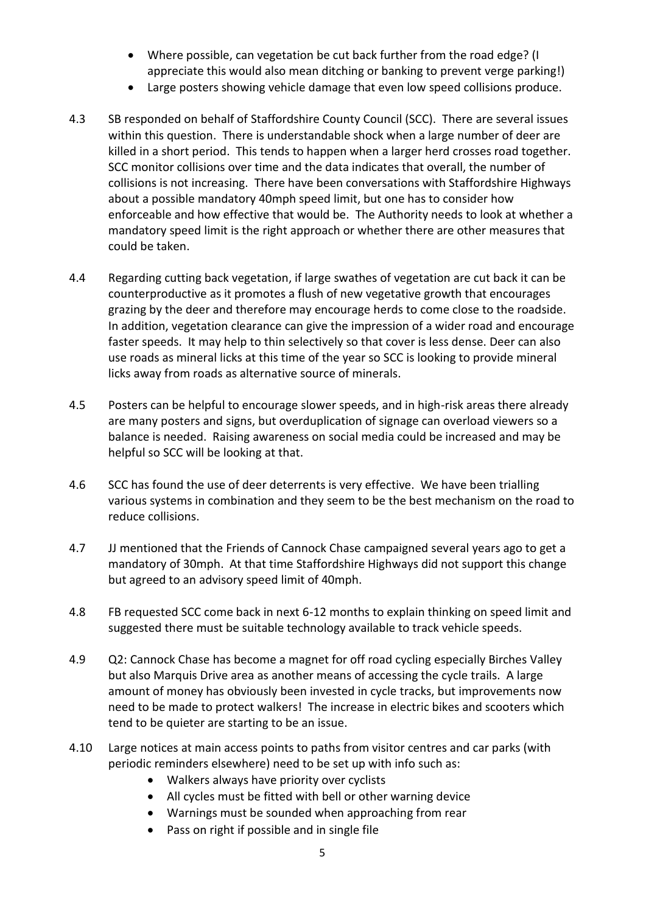- Where possible, can vegetation be cut back further from the road edge? (I appreciate this would also mean ditching or banking to prevent verge parking!)
- Large posters showing vehicle damage that even low speed collisions produce.
- 4.3 SB responded on behalf of Staffordshire County Council (SCC). There are several issues within this question. There is understandable shock when a large number of deer are killed in a short period. This tends to happen when a larger herd crosses road together. SCC monitor collisions over time and the data indicates that overall, the number of collisions is not increasing. There have been conversations with Staffordshire Highways about a possible mandatory 40mph speed limit, but one has to consider how enforceable and how effective that would be. The Authority needs to look at whether a mandatory speed limit is the right approach or whether there are other measures that could be taken.
- 4.4 Regarding cutting back vegetation, if large swathes of vegetation are cut back it can be counterproductive as it promotes a flush of new vegetative growth that encourages grazing by the deer and therefore may encourage herds to come close to the roadside. In addition, vegetation clearance can give the impression of a wider road and encourage faster speeds. It may help to thin selectively so that cover is less dense. Deer can also use roads as mineral licks at this time of the year so SCC is looking to provide mineral licks away from roads as alternative source of minerals.
- 4.5 Posters can be helpful to encourage slower speeds, and in high-risk areas there already are many posters and signs, but overduplication of signage can overload viewers so a balance is needed. Raising awareness on social media could be increased and may be helpful so SCC will be looking at that.
- 4.6 SCC has found the use of deer deterrents is very effective. We have been trialling various systems in combination and they seem to be the best mechanism on the road to reduce collisions.
- 4.7 JJ mentioned that the Friends of Cannock Chase campaigned several years ago to get a mandatory of 30mph. At that time Staffordshire Highways did not support this change but agreed to an advisory speed limit of 40mph.
- 4.8 FB requested SCC come back in next 6-12 months to explain thinking on speed limit and suggested there must be suitable technology available to track vehicle speeds.
- 4.9 Q2: Cannock Chase has become a magnet for off road cycling especially Birches Valley but also Marquis Drive area as another means of accessing the cycle trails. A large amount of money has obviously been invested in cycle tracks, but improvements now need to be made to protect walkers! The increase in electric bikes and scooters which tend to be quieter are starting to be an issue.
- 4.10 Large notices at main access points to paths from visitor centres and car parks (with periodic reminders elsewhere) need to be set up with info such as:
	- Walkers always have priority over cyclists
	- All cycles must be fitted with bell or other warning device
	- Warnings must be sounded when approaching from rear
	- Pass on right if possible and in single file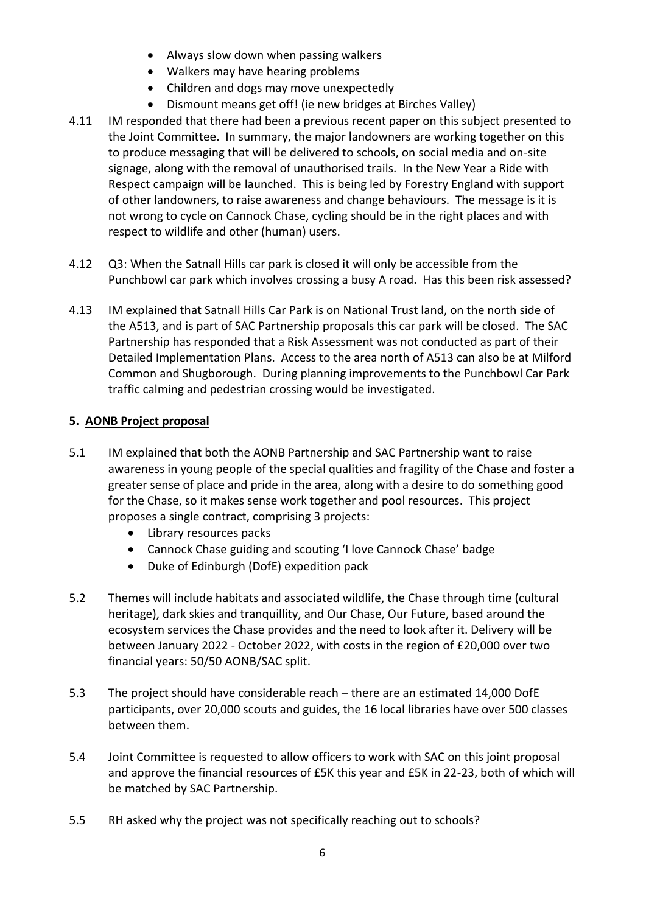- Always slow down when passing walkers
- Walkers may have hearing problems
- Children and dogs may move unexpectedly
- Dismount means get off! (ie new bridges at Birches Valley)
- 4.11 IM responded that there had been a previous recent paper on this subject presented to the Joint Committee. In summary, the major landowners are working together on this to produce messaging that will be delivered to schools, on social media and on-site signage, along with the removal of unauthorised trails. In the New Year a Ride with Respect campaign will be launched. This is being led by Forestry England with support of other landowners, to raise awareness and change behaviours. The message is it is not wrong to cycle on Cannock Chase, cycling should be in the right places and with respect to wildlife and other (human) users.
- 4.12 Q3: When the Satnall Hills car park is closed it will only be accessible from the Punchbowl car park which involves crossing a busy A road. Has this been risk assessed?
- 4.13 IM explained that Satnall Hills Car Park is on National Trust land, on the north side of the A513, and is part of SAC Partnership proposals this car park will be closed. The SAC Partnership has responded that a Risk Assessment was not conducted as part of their Detailed Implementation Plans. Access to the area north of A513 can also be at Milford Common and Shugborough. During planning improvements to the Punchbowl Car Park traffic calming and pedestrian crossing would be investigated.

### **5. AONB Project proposal**

- 5.1 IM explained that both the AONB Partnership and SAC Partnership want to raise awareness in young people of the special qualities and fragility of the Chase and foster a greater sense of place and pride in the area, along with a desire to do something good for the Chase, so it makes sense work together and pool resources. This project proposes a single contract, comprising 3 projects:
	- Library resources packs
	- Cannock Chase guiding and scouting 'I love Cannock Chase' badge
	- Duke of Edinburgh (DofE) expedition pack
- 5.2 Themes will include habitats and associated wildlife, the Chase through time (cultural heritage), dark skies and tranquillity, and Our Chase, Our Future, based around the ecosystem services the Chase provides and the need to look after it. Delivery will be between January 2022 - October 2022, with costs in the region of £20,000 over two financial years: 50/50 AONB/SAC split.
- 5.3 The project should have considerable reach there are an estimated 14,000 DofE participants, over 20,000 scouts and guides, the 16 local libraries have over 500 classes between them.
- 5.4 Joint Committee is requested to allow officers to work with SAC on this joint proposal and approve the financial resources of £5K this year and £5K in 22-23, both of which will be matched by SAC Partnership.
- 5.5 RH asked why the project was not specifically reaching out to schools?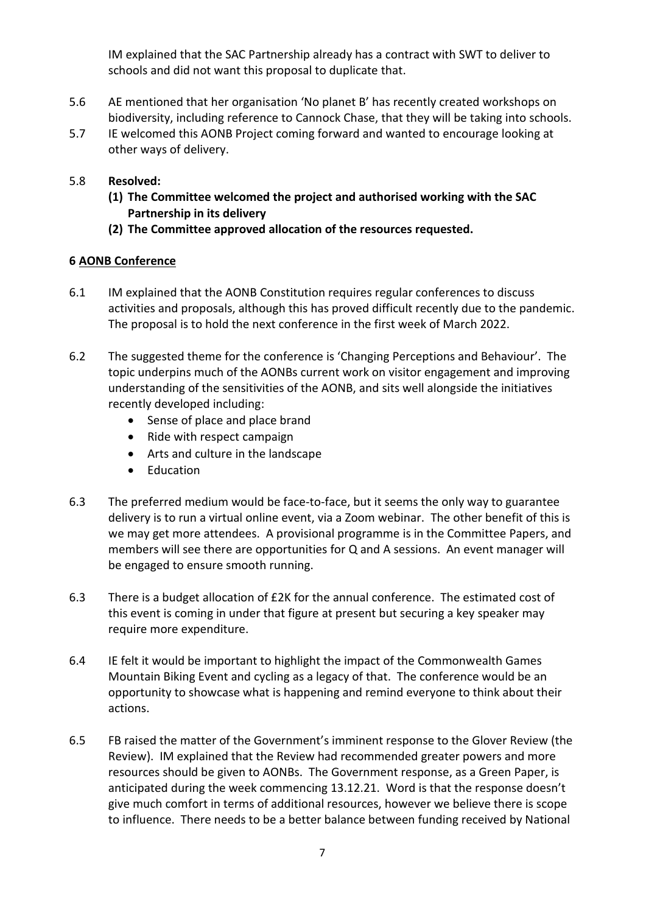IM explained that the SAC Partnership already has a contract with SWT to deliver to schools and did not want this proposal to duplicate that.

- 5.6 AE mentioned that her organisation 'No planet B' has recently created workshops on biodiversity, including reference to Cannock Chase, that they will be taking into schools.
- 5.7 IE welcomed this AONB Project coming forward and wanted to encourage looking at other ways of delivery.

### 5.8 **Resolved:**

- **(1) The Committee welcomed the project and authorised working with the SAC Partnership in its delivery**
- **(2) The Committee approved allocation of the resources requested.**

### **6 AONB Conference**

- 6.1 IM explained that the AONB Constitution requires regular conferences to discuss activities and proposals, although this has proved difficult recently due to the pandemic. The proposal is to hold the next conference in the first week of March 2022.
- 6.2 The suggested theme for the conference is 'Changing Perceptions and Behaviour'. The topic underpins much of the AONBs current work on visitor engagement and improving understanding of the sensitivities of the AONB, and sits well alongside the initiatives recently developed including:
	- Sense of place and place brand
	- Ride with respect campaign
	- Arts and culture in the landscape
	- Education
- 6.3 The preferred medium would be face-to-face, but it seems the only way to guarantee delivery is to run a virtual online event, via a Zoom webinar. The other benefit of this is we may get more attendees. A provisional programme is in the Committee Papers, and members will see there are opportunities for Q and A sessions. An event manager will be engaged to ensure smooth running.
- 6.3 There is a budget allocation of £2K for the annual conference. The estimated cost of this event is coming in under that figure at present but securing a key speaker may require more expenditure.
- 6.4 IE felt it would be important to highlight the impact of the Commonwealth Games Mountain Biking Event and cycling as a legacy of that. The conference would be an opportunity to showcase what is happening and remind everyone to think about their actions.
- 6.5 FB raised the matter of the Government's imminent response to the Glover Review (the Review). IM explained that the Review had recommended greater powers and more resources should be given to AONBs. The Government response, as a Green Paper, is anticipated during the week commencing 13.12.21. Word is that the response doesn't give much comfort in terms of additional resources, however we believe there is scope to influence. There needs to be a better balance between funding received by National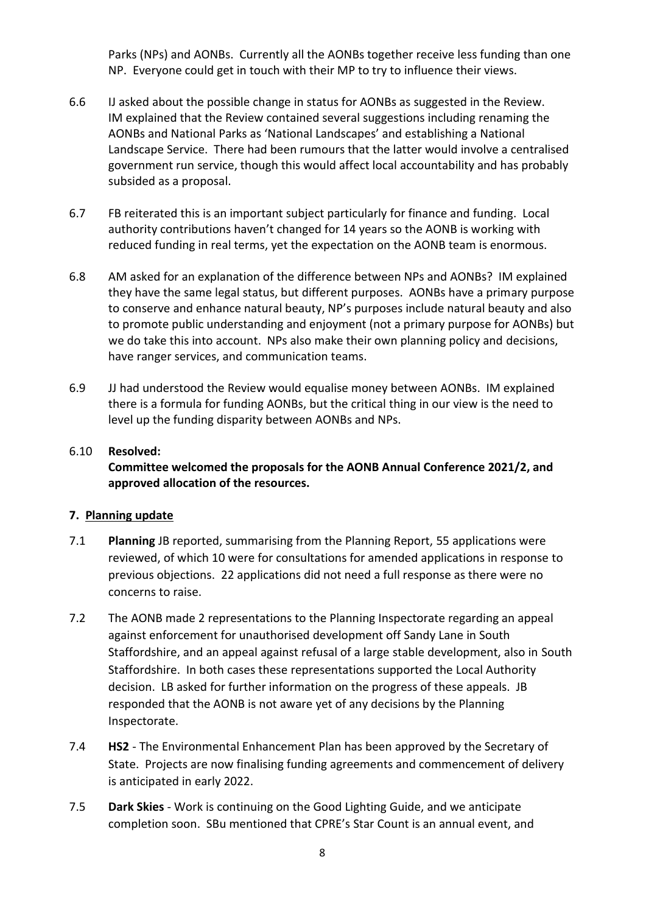Parks (NPs) and AONBs. Currently all the AONBs together receive less funding than one NP. Everyone could get in touch with their MP to try to influence their views.

- 6.6 IJ asked about the possible change in status for AONBs as suggested in the Review. IM explained that the Review contained several suggestions including renaming the AONBs and National Parks as 'National Landscapes' and establishing a National Landscape Service. There had been rumours that the latter would involve a centralised government run service, though this would affect local accountability and has probably subsided as a proposal.
- 6.7 FB reiterated this is an important subject particularly for finance and funding. Local authority contributions haven't changed for 14 years so the AONB is working with reduced funding in real terms, yet the expectation on the AONB team is enormous.
- 6.8 AM asked for an explanation of the difference between NPs and AONBs? IM explained they have the same legal status, but different purposes. AONBs have a primary purpose to conserve and enhance natural beauty, NP's purposes include natural beauty and also to promote public understanding and enjoyment (not a primary purpose for AONBs) but we do take this into account. NPs also make their own planning policy and decisions, have ranger services, and communication teams.
- 6.9 JJ had understood the Review would equalise money between AONBs. IM explained there is a formula for funding AONBs, but the critical thing in our view is the need to level up the funding disparity between AONBs and NPs.

# 6.10 **Resolved: Committee welcomed the proposals for the AONB Annual Conference 2021/2, and approved allocation of the resources.**

### **7. Planning update**

- 7.1 **Planning** JB reported, summarising from the Planning Report, 55 applications were reviewed, of which 10 were for consultations for amended applications in response to previous objections. 22 applications did not need a full response as there were no concerns to raise.
- 7.2 The AONB made 2 representations to the Planning Inspectorate regarding an appeal against enforcement for unauthorised development off Sandy Lane in South Staffordshire, and an appeal against refusal of a large stable development, also in South Staffordshire. In both cases these representations supported the Local Authority decision. LB asked for further information on the progress of these appeals. JB responded that the AONB is not aware yet of any decisions by the Planning Inspectorate.
- 7.4 **HS2** The Environmental Enhancement Plan has been approved by the Secretary of State. Projects are now finalising funding agreements and commencement of delivery is anticipated in early 2022.
- 7.5 **Dark Skies** Work is continuing on the Good Lighting Guide, and we anticipate completion soon. SBu mentioned that CPRE's Star Count is an annual event, and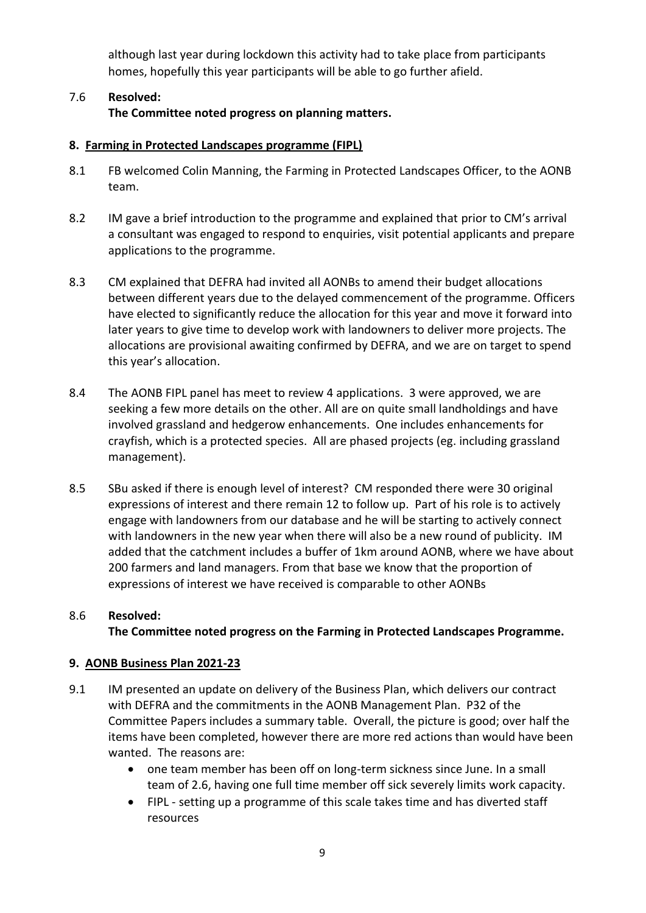although last year during lockdown this activity had to take place from participants homes, hopefully this year participants will be able to go further afield.

### 7.6 **Resolved: The Committee noted progress on planning matters.**

### **8. Farming in Protected Landscapes programme (FIPL)**

- 8.1 FB welcomed Colin Manning, the Farming in Protected Landscapes Officer, to the AONB team.
- 8.2 IM gave a brief introduction to the programme and explained that prior to CM's arrival a consultant was engaged to respond to enquiries, visit potential applicants and prepare applications to the programme.
- 8.3 CM explained that DEFRA had invited all AONBs to amend their budget allocations between different years due to the delayed commencement of the programme. Officers have elected to significantly reduce the allocation for this year and move it forward into later years to give time to develop work with landowners to deliver more projects. The allocations are provisional awaiting confirmed by DEFRA, and we are on target to spend this year's allocation.
- 8.4 The AONB FIPL panel has meet to review 4 applications. 3 were approved, we are seeking a few more details on the other. All are on quite small landholdings and have involved grassland and hedgerow enhancements. One includes enhancements for crayfish, which is a protected species. All are phased projects (eg. including grassland management).
- 8.5 SBu asked if there is enough level of interest? CM responded there were 30 original expressions of interest and there remain 12 to follow up. Part of his role is to actively engage with landowners from our database and he will be starting to actively connect with landowners in the new year when there will also be a new round of publicity. IM added that the catchment includes a buffer of 1km around AONB, where we have about 200 farmers and land managers. From that base we know that the proportion of expressions of interest we have received is comparable to other AONBs

### 8.6 **Resolved: The Committee noted progress on the Farming in Protected Landscapes Programme.**

### **9. AONB Business Plan 2021-23**

- 9.1 IM presented an update on delivery of the Business Plan, which delivers our contract with DEFRA and the commitments in the AONB Management Plan. P32 of the Committee Papers includes a summary table. Overall, the picture is good; over half the items have been completed, however there are more red actions than would have been wanted. The reasons are:
	- one team member has been off on long-term sickness since June. In a small team of 2.6, having one full time member off sick severely limits work capacity.
	- FIPL setting up a programme of this scale takes time and has diverted staff resources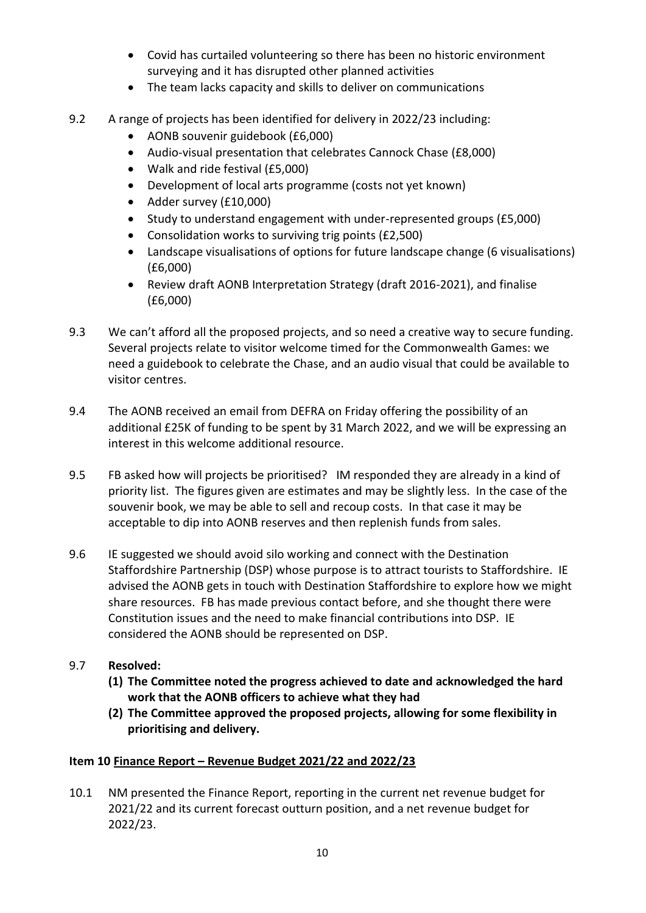- Covid has curtailed volunteering so there has been no historic environment surveying and it has disrupted other planned activities
- The team lacks capacity and skills to deliver on communications
- 9.2 A range of projects has been identified for delivery in 2022/23 including:
	- AONB souvenir guidebook (£6,000)
	- Audio-visual presentation that celebrates Cannock Chase (£8,000)
	- Walk and ride festival (£5,000)
	- Development of local arts programme (costs not yet known)
	- Adder survey (£10,000)
	- Study to understand engagement with under-represented groups (£5,000)
	- Consolidation works to surviving trig points (£2,500)
	- Landscape visualisations of options for future landscape change (6 visualisations) (£6,000)
	- Review draft AONB Interpretation Strategy (draft 2016-2021), and finalise (£6,000)
- 9.3 We can't afford all the proposed projects, and so need a creative way to secure funding. Several projects relate to visitor welcome timed for the Commonwealth Games: we need a guidebook to celebrate the Chase, and an audio visual that could be available to visitor centres.
- 9.4 The AONB received an email from DEFRA on Friday offering the possibility of an additional £25K of funding to be spent by 31 March 2022, and we will be expressing an interest in this welcome additional resource.
- 9.5 FB asked how will projects be prioritised? IM responded they are already in a kind of priority list. The figures given are estimates and may be slightly less. In the case of the souvenir book, we may be able to sell and recoup costs. In that case it may be acceptable to dip into AONB reserves and then replenish funds from sales.
- 9.6 IE suggested we should avoid silo working and connect with the Destination Staffordshire Partnership (DSP) whose purpose is to attract tourists to Staffordshire. IE advised the AONB gets in touch with Destination Staffordshire to explore how we might share resources. FB has made previous contact before, and she thought there were Constitution issues and the need to make financial contributions into DSP. IE considered the AONB should be represented on DSP.
- 9.7 **Resolved:**
	- **(1) The Committee noted the progress achieved to date and acknowledged the hard work that the AONB officers to achieve what they had**
	- **(2) The Committee approved the proposed projects, allowing for some flexibility in prioritising and delivery.**

### **Item 10 Finance Report – Revenue Budget 2021/22 and 2022/23**

10.1 NM presented the Finance Report, reporting in the current net revenue budget for 2021/22 and its current forecast outturn position, and a net revenue budget for 2022/23.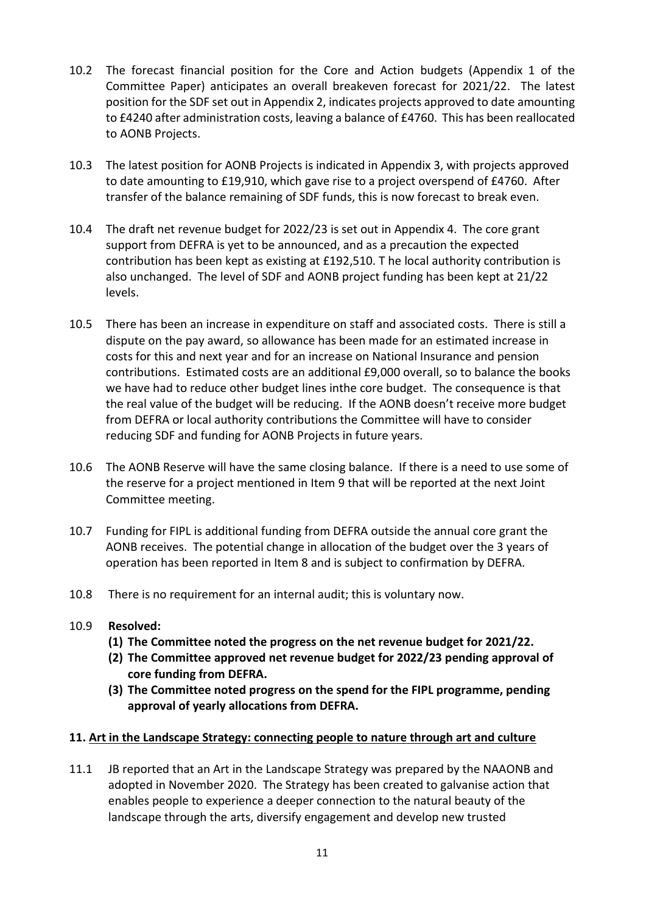- 10.2 The forecast financial position for the Core and Action budgets (Appendix 1 of the Committee Paper) anticipates an overall breakeven forecast for 2021/22. The latest position for the SDF set out in Appendix 2, indicates projects approved to date amounting to £4240 after administration costs, leaving a balance of £4760. This has been reallocated to AONB Projects.
- 10.3 The latest position for AONB Projects is indicated in Appendix 3, with projects approved to date amounting to £19,910, which gave rise to a project overspend of £4760. After transfer of the balance remaining of SDF funds, this is now forecast to break even.
- 10.4 The draft net revenue budget for 2022/23 is set out in Appendix 4. The core grant support from DEFRA is yet to be announced, and as a precaution the expected contribution has been kept as existing at £192,510. T he local authority contribution is also unchanged. The level of SDF and AONB project funding has been kept at 21/22 levels.
- 10.5 There has been an increase in expenditure on staff and associated costs. There is still a dispute on the pay award, so allowance has been made for an estimated increase in costs for this and next year and for an increase on National Insurance and pension contributions. Estimated costs are an additional £9,000 overall, so to balance the books we have had to reduce other budget lines inthe core budget. The consequence is that the real value of the budget will be reducing. If the AONB doesn't receive more budget from DEFRA or local authority contributions the Committee will have to consider reducing SDF and funding for AONB Projects in future years.
- 10.6 The AONB Reserve will have the same closing balance. If there is a need to use some of the reserve for a project mentioned in Item 9 that will be reported at the next Joint Committee meeting.
- 10.7 Funding for FIPL is additional funding from DEFRA outside the annual core grant the AONB receives. The potential change in allocation of the budget over the 3 years of operation has been reported in Item 8 and is subject to confirmation by DEFRA.
- 10.8 There is no requirement for an internal audit; this is voluntary now.
- 10.9 **Resolved:**
	- **(1) The Committee noted the progress on the net revenue budget for 2021/22.**
	- **(2) The Committee approved net revenue budget for 2022/23 pending approval of core funding from DEFRA.**
	- **(3) The Committee noted progress on the spend for the FIPL programme, pending approval of yearly allocations from DEFRA.**

### **11. Art in the Landscape Strategy: connecting people to nature through art and culture**

11.1 JB reported that an Art in the Landscape Strategy was prepared by the NAAONB and adopted in November 2020. The Strategy has been created to galvanise action that enables people to experience a deeper connection to the natural beauty of the landscape through the arts, diversify engagement and develop new trusted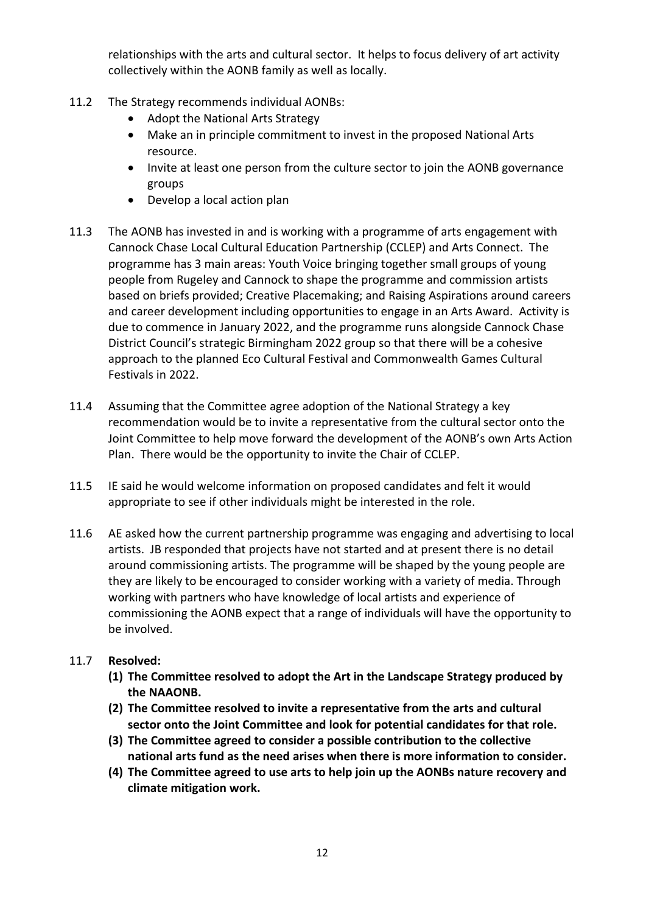relationships with the arts and cultural sector. It helps to focus delivery of art activity collectively within the AONB family as well as locally.

- 11.2 The Strategy recommends individual AONBs:
	- Adopt the National Arts Strategy
	- Make an in principle commitment to invest in the proposed National Arts resource.
	- Invite at least one person from the culture sector to join the AONB governance groups
	- Develop a local action plan
- 11.3 The AONB has invested in and is working with a programme of arts engagement with Cannock Chase Local Cultural Education Partnership (CCLEP) and Arts Connect. The programme has 3 main areas: Youth Voice bringing together small groups of young people from Rugeley and Cannock to shape the programme and commission artists based on briefs provided; Creative Placemaking; and Raising Aspirations around careers and career development including opportunities to engage in an Arts Award. Activity is due to commence in January 2022, and the programme runs alongside Cannock Chase District Council's strategic Birmingham 2022 group so that there will be a cohesive approach to the planned Eco Cultural Festival and Commonwealth Games Cultural Festivals in 2022.
- 11.4 Assuming that the Committee agree adoption of the National Strategy a key recommendation would be to invite a representative from the cultural sector onto the Joint Committee to help move forward the development of the AONB's own Arts Action Plan. There would be the opportunity to invite the Chair of CCLEP.
- 11.5 IE said he would welcome information on proposed candidates and felt it would appropriate to see if other individuals might be interested in the role.
- 11.6 AE asked how the current partnership programme was engaging and advertising to local artists. JB responded that projects have not started and at present there is no detail around commissioning artists. The programme will be shaped by the young people are they are likely to be encouraged to consider working with a variety of media. Through working with partners who have knowledge of local artists and experience of commissioning the AONB expect that a range of individuals will have the opportunity to be involved.

### 11.7 **Resolved:**

- **(1) The Committee resolved to adopt the Art in the Landscape Strategy produced by the NAAONB.**
- **(2) The Committee resolved to invite a representative from the arts and cultural sector onto the Joint Committee and look for potential candidates for that role.**
- **(3) The Committee agreed to consider a possible contribution to the collective national arts fund as the need arises when there is more information to consider.**
- **(4) The Committee agreed to use arts to help join up the AONBs nature recovery and climate mitigation work.**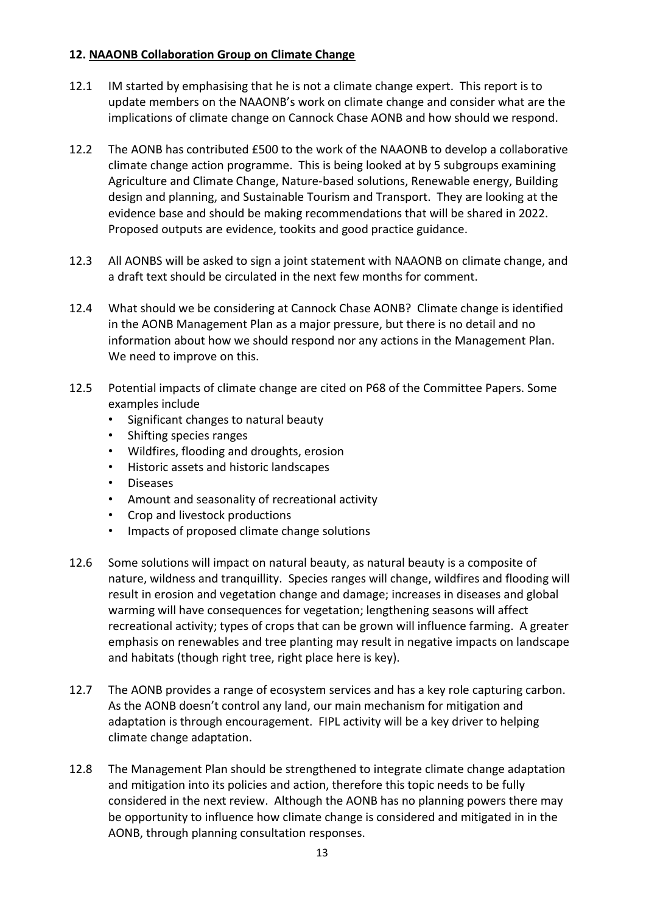### **12. NAAONB Collaboration Group on Climate Change**

- 12.1 IM started by emphasising that he is not a climate change expert. This report is to update members on the NAAONB's work on climate change and consider what are the implications of climate change on Cannock Chase AONB and how should we respond.
- 12.2 The AONB has contributed £500 to the work of the NAAONB to develop a collaborative climate change action programme. This is being looked at by 5 subgroups examining Agriculture and Climate Change, Nature-based solutions, Renewable energy, Building design and planning, and Sustainable Tourism and Transport. They are looking at the evidence base and should be making recommendations that will be shared in 2022. Proposed outputs are evidence, tookits and good practice guidance.
- 12.3 All AONBS will be asked to sign a joint statement with NAAONB on climate change, and a draft text should be circulated in the next few months for comment.
- 12.4 What should we be considering at Cannock Chase AONB? Climate change is identified in the AONB Management Plan as a major pressure, but there is no detail and no information about how we should respond nor any actions in the Management Plan. We need to improve on this.
- 12.5 Potential impacts of climate change are cited on P68 of the Committee Papers. Some examples include
	- Significant changes to natural beauty
	- Shifting species ranges
	- Wildfires, flooding and droughts, erosion
	- Historic assets and historic landscapes
	- Diseases
	- Amount and seasonality of recreational activity
	- Crop and livestock productions
	- Impacts of proposed climate change solutions
- 12.6 Some solutions will impact on natural beauty, as natural beauty is a composite of nature, wildness and tranquillity. Species ranges will change, wildfires and flooding will result in erosion and vegetation change and damage; increases in diseases and global warming will have consequences for vegetation; lengthening seasons will affect recreational activity; types of crops that can be grown will influence farming. A greater emphasis on renewables and tree planting may result in negative impacts on landscape and habitats (though right tree, right place here is key).
- 12.7 The AONB provides a range of ecosystem services and has a key role capturing carbon. As the AONB doesn't control any land, our main mechanism for mitigation and adaptation is through encouragement. FIPL activity will be a key driver to helping climate change adaptation.
- 12.8 The Management Plan should be strengthened to integrate climate change adaptation and mitigation into its policies and action, therefore this topic needs to be fully considered in the next review. Although the AONB has no planning powers there may be opportunity to influence how climate change is considered and mitigated in in the AONB, through planning consultation responses.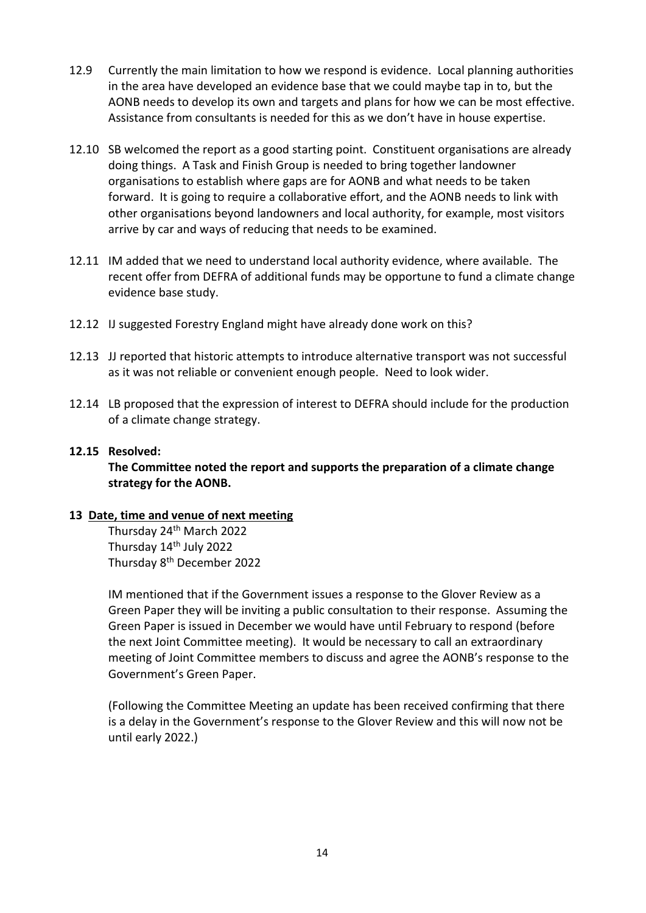- 12.9 Currently the main limitation to how we respond is evidence. Local planning authorities in the area have developed an evidence base that we could maybe tap in to, but the AONB needs to develop its own and targets and plans for how we can be most effective. Assistance from consultants is needed for this as we don't have in house expertise.
- 12.10 SB welcomed the report as a good starting point. Constituent organisations are already doing things. A Task and Finish Group is needed to bring together landowner organisations to establish where gaps are for AONB and what needs to be taken forward. It is going to require a collaborative effort, and the AONB needs to link with other organisations beyond landowners and local authority, for example, most visitors arrive by car and ways of reducing that needs to be examined.
- 12.11 IM added that we need to understand local authority evidence, where available. The recent offer from DEFRA of additional funds may be opportune to fund a climate change evidence base study.
- 12.12 IJ suggested Forestry England might have already done work on this?
- 12.13 JJ reported that historic attempts to introduce alternative transport was not successful as it was not reliable or convenient enough people. Need to look wider.
- 12.14 LB proposed that the expression of interest to DEFRA should include for the production of a climate change strategy.

#### **12.15 Resolved:**

**The Committee noted the report and supports the preparation of a climate change strategy for the AONB.**

#### **13 Date, time and venue of next meeting**

Thursday 24th March 2022 Thursday 14<sup>th</sup> July 2022 Thursday 8th December 2022

IM mentioned that if the Government issues a response to the Glover Review as a Green Paper they will be inviting a public consultation to their response. Assuming the Green Paper is issued in December we would have until February to respond (before the next Joint Committee meeting). It would be necessary to call an extraordinary meeting of Joint Committee members to discuss and agree the AONB's response to the Government's Green Paper.

(Following the Committee Meeting an update has been received confirming that there is a delay in the Government's response to the Glover Review and this will now not be until early 2022.)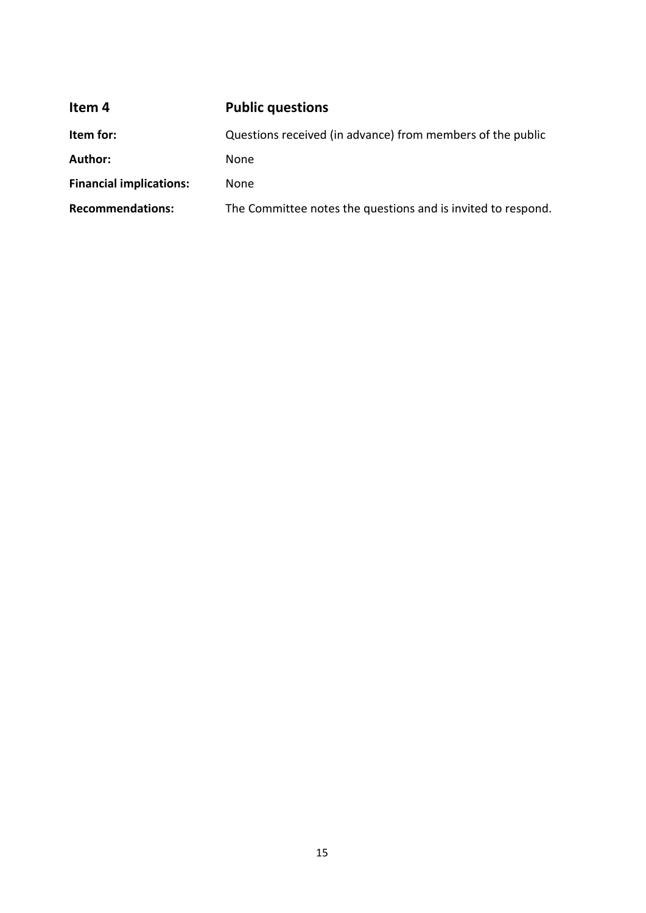<span id="page-14-0"></span>

| Item 4                         | <b>Public questions</b>                                      |
|--------------------------------|--------------------------------------------------------------|
| Item for:                      | Questions received (in advance) from members of the public   |
| <b>Author:</b>                 | None                                                         |
| <b>Financial implications:</b> | <b>None</b>                                                  |
| <b>Recommendations:</b>        | The Committee notes the questions and is invited to respond. |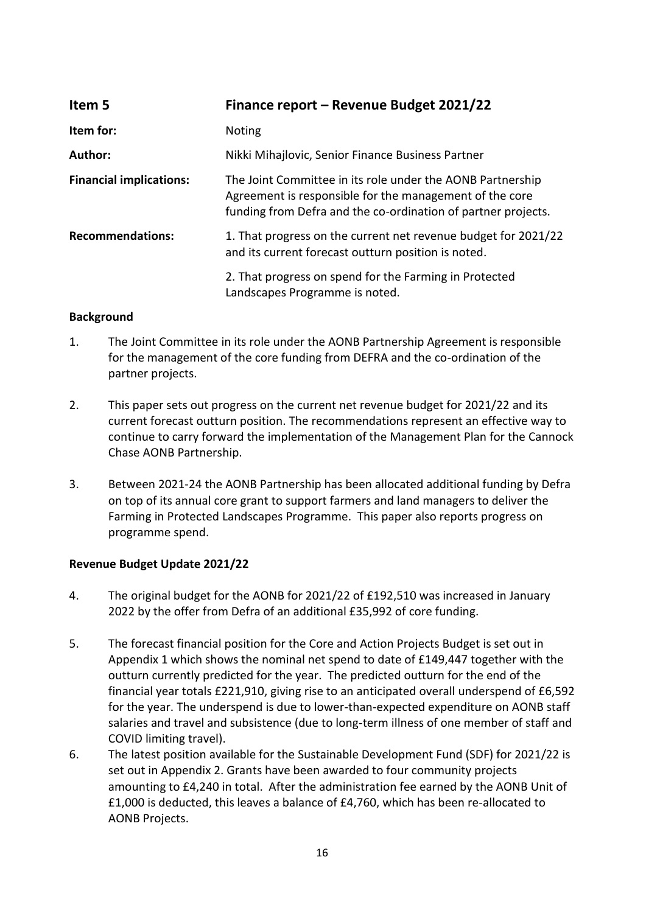<span id="page-15-0"></span>

| Item 5                         | Finance report - Revenue Budget 2021/22                                                                                                                                                |
|--------------------------------|----------------------------------------------------------------------------------------------------------------------------------------------------------------------------------------|
| Item for:                      | <b>Noting</b>                                                                                                                                                                          |
| Author:                        | Nikki Mihajlovic, Senior Finance Business Partner                                                                                                                                      |
| <b>Financial implications:</b> | The Joint Committee in its role under the AONB Partnership<br>Agreement is responsible for the management of the core<br>funding from Defra and the co-ordination of partner projects. |
| <b>Recommendations:</b>        | 1. That progress on the current net revenue budget for 2021/22<br>and its current forecast outturn position is noted.                                                                  |
|                                | 2. That progress on spend for the Farming in Protected<br>Landscapes Programme is noted.                                                                                               |

### **Background**

- 1. The Joint Committee in its role under the AONB Partnership Agreement is responsible for the management of the core funding from DEFRA and the co-ordination of the partner projects.
- 2. This paper sets out progress on the current net revenue budget for 2021/22 and its current forecast outturn position. The recommendations represent an effective way to continue to carry forward the implementation of the Management Plan for the Cannock Chase AONB Partnership.
- 3. Between 2021-24 the AONB Partnership has been allocated additional funding by Defra on top of its annual core grant to support farmers and land managers to deliver the Farming in Protected Landscapes Programme. This paper also reports progress on programme spend.

### **Revenue Budget Update 2021/22**

- 4. The original budget for the AONB for 2021/22 of £192,510 was increased in January 2022 by the offer from Defra of an additional £35,992 of core funding.
- 5. The forecast financial position for the Core and Action Projects Budget is set out in Appendix 1 which shows the nominal net spend to date of £149,447 together with the outturn currently predicted for the year. The predicted outturn for the end of the financial year totals £221,910, giving rise to an anticipated overall underspend of £6,592 for the year. The underspend is due to lower-than-expected expenditure on AONB staff salaries and travel and subsistence (due to long-term illness of one member of staff and COVID limiting travel).
- 6. The latest position available for the Sustainable Development Fund (SDF) for 2021/22 is set out in Appendix 2. Grants have been awarded to four community projects amounting to £4,240 in total. After the administration fee earned by the AONB Unit of £1,000 is deducted, this leaves a balance of £4,760, which has been re-allocated to AONB Projects.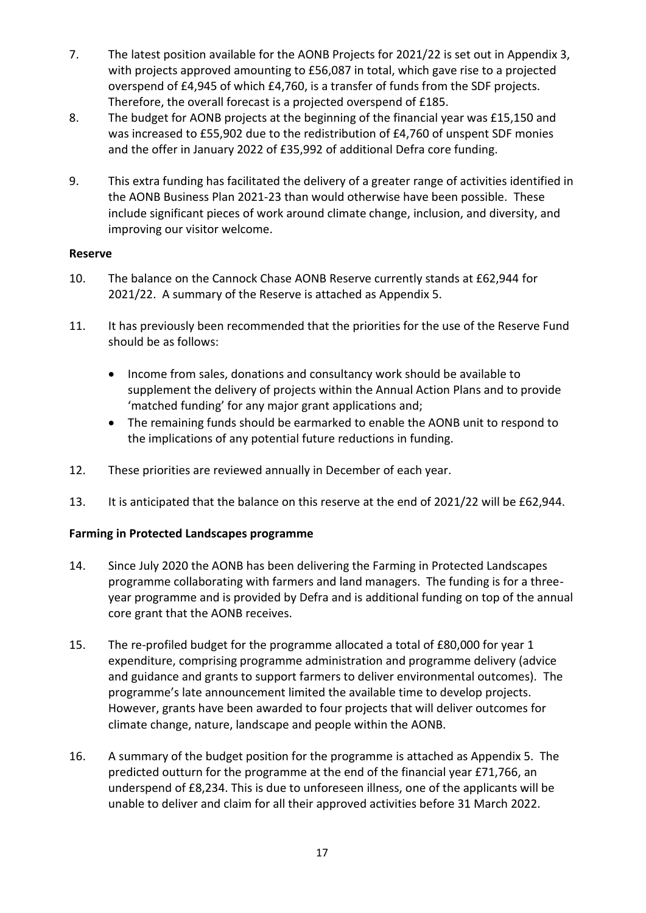- 7. The latest position available for the AONB Projects for 2021/22 is set out in Appendix 3, with projects approved amounting to £56,087 in total, which gave rise to a projected overspend of £4,945 of which £4,760, is a transfer of funds from the SDF projects. Therefore, the overall forecast is a projected overspend of £185.
- 8. The budget for AONB projects at the beginning of the financial year was £15,150 and was increased to £55,902 due to the redistribution of £4,760 of unspent SDF monies and the offer in January 2022 of £35,992 of additional Defra core funding.
- 9. This extra funding has facilitated the delivery of a greater range of activities identified in the AONB Business Plan 2021-23 than would otherwise have been possible. These include significant pieces of work around climate change, inclusion, and diversity, and improving our visitor welcome.

### **Reserve**

- 10. The balance on the Cannock Chase AONB Reserve currently stands at £62,944 for 2021/22. A summary of the Reserve is attached as Appendix 5.
- 11. It has previously been recommended that the priorities for the use of the Reserve Fund should be as follows:
	- Income from sales, donations and consultancy work should be available to supplement the delivery of projects within the Annual Action Plans and to provide 'matched funding' for any major grant applications and;
	- The remaining funds should be earmarked to enable the AONB unit to respond to the implications of any potential future reductions in funding.
- 12. These priorities are reviewed annually in December of each year.
- 13. It is anticipated that the balance on this reserve at the end of 2021/22 will be £62,944.

### **Farming in Protected Landscapes programme**

- 14. Since July 2020 the AONB has been delivering the Farming in Protected Landscapes programme collaborating with farmers and land managers. The funding is for a threeyear programme and is provided by Defra and is additional funding on top of the annual core grant that the AONB receives.
- 15. The re-profiled budget for the programme allocated a total of £80,000 for year 1 expenditure, comprising programme administration and programme delivery (advice and guidance and grants to support farmers to deliver environmental outcomes). The programme's late announcement limited the available time to develop projects. However, grants have been awarded to four projects that will deliver outcomes for climate change, nature, landscape and people within the AONB.
- 16. A summary of the budget position for the programme is attached as Appendix 5. The predicted outturn for the programme at the end of the financial year £71,766, an underspend of £8,234. This is due to unforeseen illness, one of the applicants will be unable to deliver and claim for all their approved activities before 31 March 2022.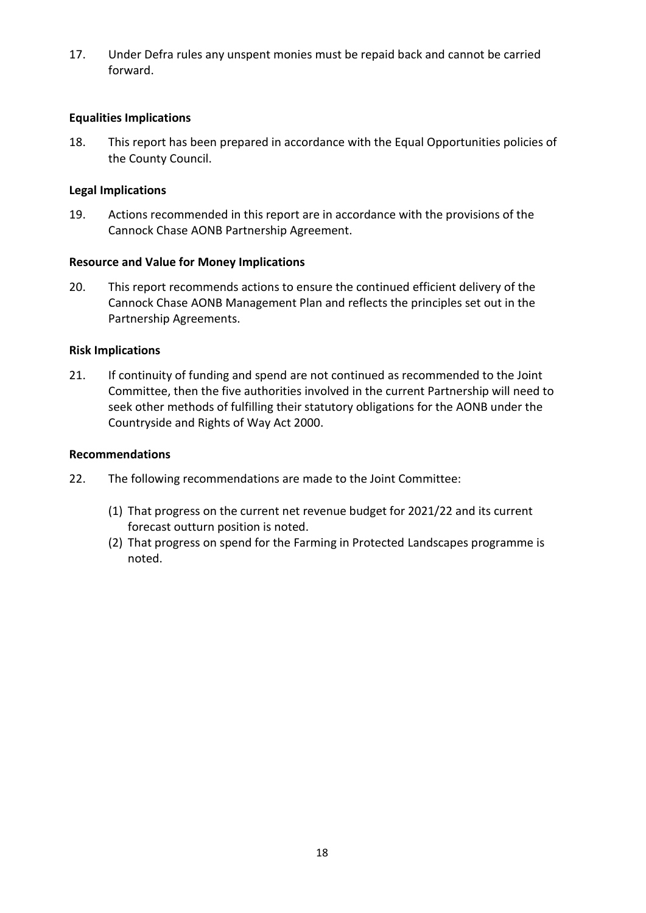17. Under Defra rules any unspent monies must be repaid back and cannot be carried forward.

### **Equalities Implications**

18. This report has been prepared in accordance with the Equal Opportunities policies of the County Council.

### **Legal Implications**

19. Actions recommended in this report are in accordance with the provisions of the Cannock Chase AONB Partnership Agreement.

### **Resource and Value for Money Implications**

20. This report recommends actions to ensure the continued efficient delivery of the Cannock Chase AONB Management Plan and reflects the principles set out in the Partnership Agreements.

### **Risk Implications**

21. If continuity of funding and spend are not continued as recommended to the Joint Committee, then the five authorities involved in the current Partnership will need to seek other methods of fulfilling their statutory obligations for the AONB under the Countryside and Rights of Way Act 2000.

### **Recommendations**

- 22. The following recommendations are made to the Joint Committee:
	- (1) That progress on the current net revenue budget for 2021/22 and its current forecast outturn position is noted.
	- (2) That progress on spend for the Farming in Protected Landscapes programme is noted.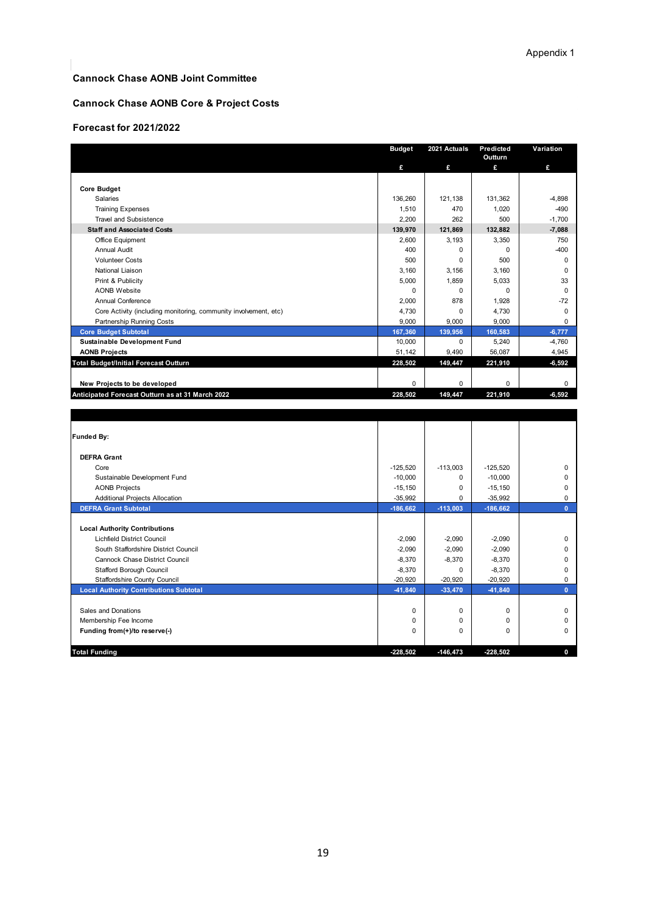#### **Cannock Chase AONB Joint Committee**

#### **Cannock Chase AONB Core & Project Costs**

#### **Forecast for 2021/2022**

|                                                                  | <b>Budget</b> | 2021 Actuals | Predicted   | Variation    |
|------------------------------------------------------------------|---------------|--------------|-------------|--------------|
|                                                                  |               |              | Outturn     |              |
|                                                                  | £             | £            | £           | £            |
|                                                                  |               |              |             |              |
| <b>Core Budget</b>                                               |               |              |             |              |
| Salaries                                                         | 136,260       | 121,138      | 131,362     | $-4,898$     |
| <b>Training Expenses</b>                                         | 1,510         | 470          | 1,020       | $-490$       |
| <b>Travel and Subsistence</b>                                    | 2,200         | 262          | 500         | $-1,700$     |
| <b>Staff and Associated Costs</b>                                | 139,970       | 121,869      | 132.882     | $-7,088$     |
| Office Equipment                                                 | 2,600         | 3,193        | 3,350       | 750          |
| <b>Annual Audit</b>                                              | 400           | 0            | $\mathbf 0$ | $-400$       |
| <b>Volunteer Costs</b>                                           | 500           | 0            | 500         | $\mathbf 0$  |
| National Liaison                                                 | 3,160         | 3,156        | 3,160       | $\mathbf 0$  |
| Print & Publicity                                                | 5,000         | 1.859        | 5,033       | 33           |
| <b>AONB Website</b>                                              | 0             | 0            | $\mathbf 0$ | $\mathbf 0$  |
| Annual Conference                                                | 2,000         | 878          | 1,928       | $-72$        |
| Core Activity (including monitoring, community involvement, etc) | 4,730         | 0            | 4,730       | $\mathbf 0$  |
| Partnership Running Costs                                        | 9,000         | 9,000        | 9,000       | $\mathbf 0$  |
| <b>Core Budget Subtotal</b>                                      | 167,360       | 139,956      | 160,583     | $-6,777$     |
| <b>Sustainable Development Fund</b>                              | 10,000        | 0            | 5,240       | $-4,760$     |
| <b>AONB Projects</b>                                             | 51,142        | 9,490        | 56,087      | 4,945        |
| <b>Total Budget/Initial Forecast Outturn</b>                     | 228,502       | 149,447      | 221,910     | $-6,592$     |
|                                                                  |               |              |             |              |
| New Projects to be developed                                     | 0             | 0            | $\mathbf 0$ | $\mathbf 0$  |
| Anticipated Forecast Outturn as at 31 March 2022                 | 228,502       | 149,447      | 221,910     | $-6,592$     |
|                                                                  |               |              |             |              |
|                                                                  |               |              |             |              |
|                                                                  |               |              |             |              |
|                                                                  |               |              |             |              |
| <b>Funded By:</b>                                                |               |              |             |              |
|                                                                  |               |              |             |              |
| <b>DEFRA Grant</b>                                               |               |              |             |              |
| Core                                                             | $-125,520$    | $-113,003$   | $-125,520$  | $\mathbf 0$  |
| Sustainable Development Fund                                     | $-10,000$     | $\Omega$     | $-10,000$   | $\mathbf 0$  |
| <b>AONB Projects</b>                                             | $-15, 150$    | 0            | $-15, 150$  | 0            |
| <b>Additional Projects Allocation</b>                            | $-35,992$     | 0            | $-35,992$   | $\mathbf 0$  |
| <b>DEFRA Grant Subtotal</b>                                      | $-186,662$    | $-113,003$   | $-186,662$  | $\mathbf{0}$ |
|                                                                  |               |              |             |              |
| <b>Local Authority Contributions</b>                             |               |              |             |              |
| Lichfield District Council                                       | $-2,090$      | $-2,090$     | $-2,090$    | 0            |
| South Staffordshire District Council                             | $-2,090$      | $-2,090$     | $-2,090$    | $\mathbf 0$  |
| Cannock Chase District Council                                   | $-8,370$      | $-8,370$     | $-8,370$    | $\mathbf 0$  |
| Stafford Borough Council                                         | $-8,370$      | 0            | $-8,370$    | $\mathbf 0$  |
| Staffordshire County Council                                     | $-20,920$     | $-20,920$    | $-20,920$   | 0            |
| <b>Local Authority Contributions Subtotal</b>                    | $-41,840$     | $-33,470$    | $-41,840$   | $\mathbf{0}$ |
|                                                                  |               |              |             |              |
| Sales and Donations                                              | 0             | $\mathbf 0$  | $\mathbf 0$ | $\mathbf 0$  |
| Membership Fee Income                                            | 0             | 0            | $\mathbf 0$ | 0            |
| Funding from(+)/to reserve(-)                                    | 0             | $\Omega$     | $\Omega$    | $\mathbf 0$  |
|                                                                  |               |              |             |              |
| <b>Total Funding</b>                                             | -228.502      | $-146.473$   | $-228.502$  | $\mathbf{0}$ |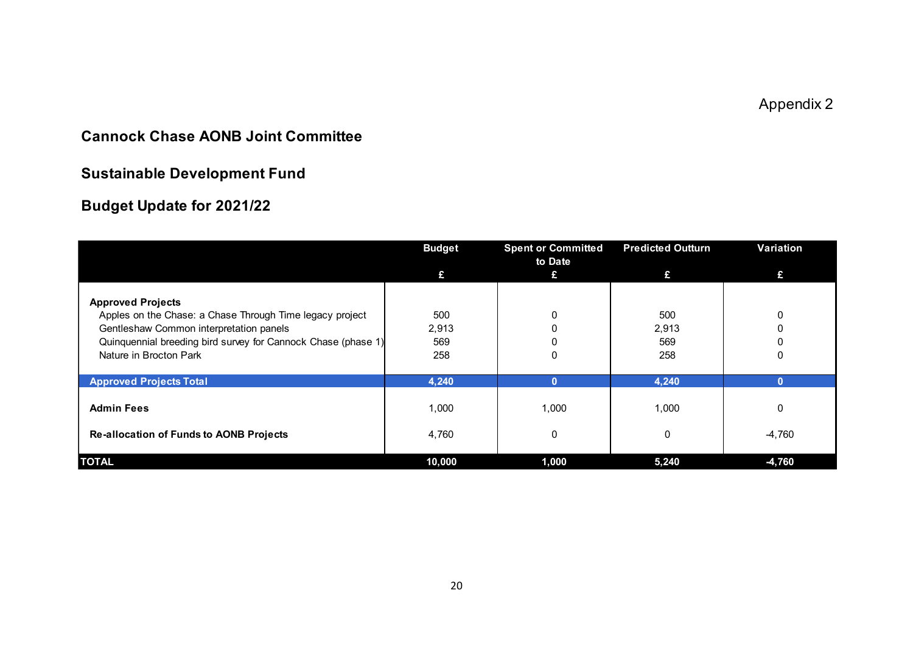Appendix 2

# **Cannock Chase AONB Joint Committee**

# **Sustainable Development Fund**

# **Budget Update for 2021/22**

|                                                                                                                                                                                                                            | <b>Budget</b>              | <b>Spent or Committed</b><br>to Date | <b>Predicted Outturn</b>   | Variation     |
|----------------------------------------------------------------------------------------------------------------------------------------------------------------------------------------------------------------------------|----------------------------|--------------------------------------|----------------------------|---------------|
|                                                                                                                                                                                                                            | £                          | £                                    | £                          | £             |
| <b>Approved Projects</b><br>Apples on the Chase: a Chase Through Time legacy project<br>Gentleshaw Common interpretation panels<br>Quinquennial breeding bird survey for Cannock Chase (phase 1)<br>Nature in Brocton Park | 500<br>2,913<br>569<br>258 |                                      | 500<br>2,913<br>569<br>258 | 0<br>0        |
| <b>Approved Projects Total</b>                                                                                                                                                                                             | 4,240                      | 0                                    | 4,240                      |               |
| <b>Admin Fees</b><br><b>Re-allocation of Funds to AONB Projects</b>                                                                                                                                                        | 1,000<br>4,760             | 1,000                                | 1,000<br>0                 | 0<br>$-4,760$ |
| <b>TOTAL</b>                                                                                                                                                                                                               | 10,000                     | 1,000                                | 5,240                      | $-4,760$      |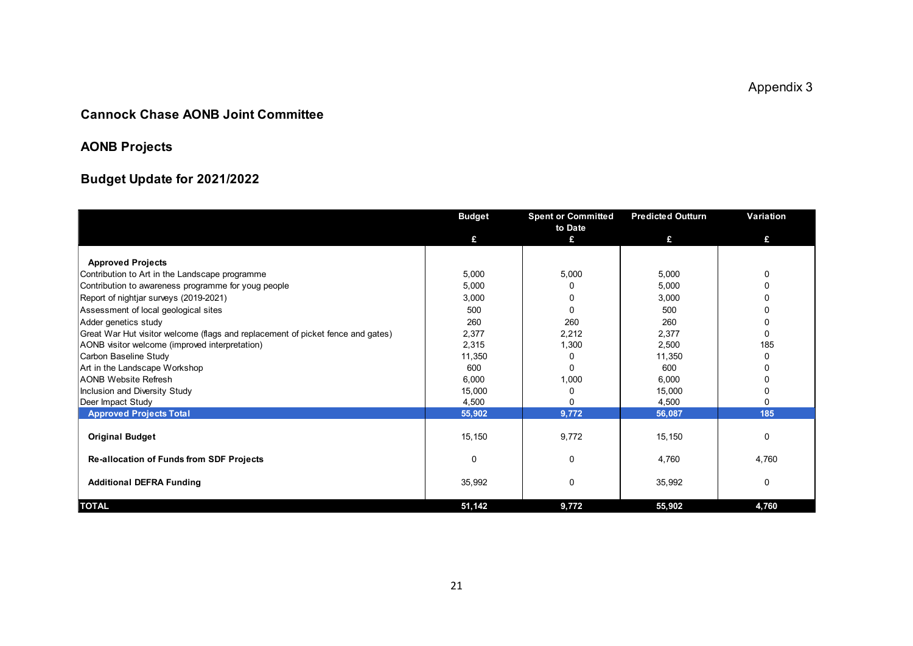Appendix 3

### **Cannock Chase AONB Joint Committee**

# **AONB Projects**

# **Budget Update for 2021/2022**

|                                                                                 | <b>Budget</b> | <b>Spent or Committed</b> | <b>Predicted Outturn</b> | Variation   |
|---------------------------------------------------------------------------------|---------------|---------------------------|--------------------------|-------------|
|                                                                                 | £             | to Date<br>£              | £                        | £           |
|                                                                                 |               |                           |                          |             |
| <b>Approved Projects</b>                                                        |               |                           |                          |             |
| Contribution to Art in the Landscape programme                                  | 5,000         | 5,000                     | 5,000                    | 0           |
| Contribution to awareness programme for youg people                             | 5,000         | O                         | 5,000                    | $\Omega$    |
| Report of nightjar surveys (2019-2021)                                          | 3,000         | 0                         | 3,000                    | $\Omega$    |
| Assessment of local geological sites                                            | 500           | 0                         | 500                      | $\Omega$    |
| Adder genetics study                                                            | 260           | 260                       | 260                      | $\Omega$    |
| Great War Hut visitor welcome (flags and replacement of picket fence and gates) | 2,377         | 2,212                     | 2,377                    | $\Omega$    |
| AONB visitor welcome (improved interpretation)                                  | 2,315         | 1,300                     | 2,500                    | 185         |
| Carbon Baseline Study                                                           | 11,350        | 0                         | 11,350                   | 0           |
| Art in the Landscape Workshop                                                   | 600           | 0                         | 600                      | O           |
| <b>AONB Website Refresh</b>                                                     | 6,000         | 1,000                     | 6,000                    |             |
| Inclusion and Diversity Study                                                   | 15,000        | 0                         | 15,000                   | $\Omega$    |
| Deer Impact Study                                                               | 4,500         | 0                         | 4,500                    | $\Omega$    |
| <b>Approved Projects Total</b>                                                  | 55,902        | 9,772                     | 56,087                   | 185         |
| <b>Original Budget</b>                                                          | 15,150        | 9,772                     | 15,150                   | 0           |
| <b>Re-allocation of Funds from SDF Projects</b>                                 | $\Omega$      | 0                         | 4,760                    | 4,760       |
| <b>Additional DEFRA Funding</b>                                                 | 35,992        | 0                         | 35,992                   | $\mathbf 0$ |
| <b>TOTAL</b>                                                                    | 51,142        | 9,772                     | 55,902                   | 4,760       |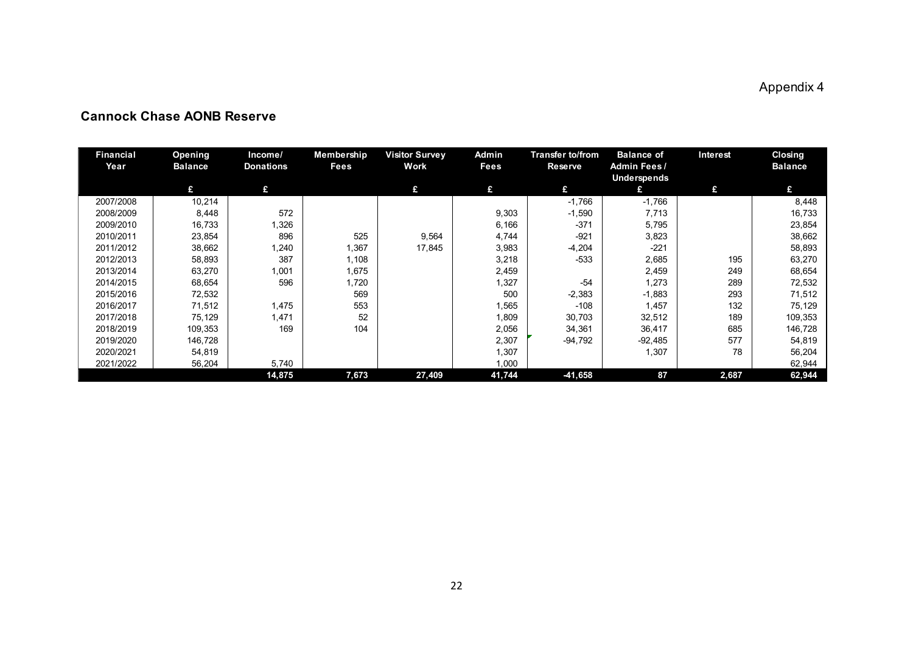# Appendix 4

| <b>Financial</b><br>Year | Opening<br><b>Balance</b> | Income/<br><b>Donations</b> | Membership<br>Fees | <b>Visitor Survey</b><br>Work | Admin<br>Fees | Transter to/from<br><b>Reserve</b> | <b>Balance of</b><br>Admin Fees/ | Interest | <b>Closing</b><br><b>Balance</b> |
|--------------------------|---------------------------|-----------------------------|--------------------|-------------------------------|---------------|------------------------------------|----------------------------------|----------|----------------------------------|
|                          |                           |                             |                    |                               |               |                                    | <b>Underspends</b>               |          |                                  |
|                          | £                         | £                           |                    | £                             | £             | £                                  | £                                | £        | £                                |
| 2007/2008                | 10,214                    |                             |                    |                               |               | $-1,766$                           | $-1,766$                         |          | 8,448                            |
| 2008/2009                | 8,448                     | 572                         |                    |                               | 9,303         | $-1,590$                           | 7,713                            |          | 16,733                           |
| 2009/2010                | 16,733                    | 1,326                       |                    |                               | 6,166         | $-371$                             | 5,795                            |          | 23,854                           |
| 2010/2011                | 23,854                    | 896                         | 525                | 9,564                         | 4,744         | $-921$                             | 3,823                            |          | 38,662                           |
| 2011/2012                | 38,662                    | 1,240                       | 1,367              | 17,845                        | 3,983         | $-4,204$                           | $-221$                           |          | 58,893                           |
| 2012/2013                | 58,893                    | 387                         | 1,108              |                               | 3,218         | $-533$                             | 2,685                            | 195      | 63,270                           |
| 2013/2014                | 63,270                    | 1,001                       | 1,675              |                               | 2,459         |                                    | 2,459                            | 249      | 68,654                           |
| 2014/2015                | 68,654                    | 596                         | 1,720              |                               | 1,327         | $-54$                              | 1,273                            | 289      | 72,532                           |
| 2015/2016                | 72,532                    |                             | 569                |                               | 500           | $-2,383$                           | $-1,883$                         | 293      | 71,512                           |
| 2016/2017                | 71,512                    | 1,475                       | 553                |                               | 1,565         | $-108$                             | 1,457                            | 132      | 75,129                           |
| 2017/2018                | 75,129                    | 1,471                       | 52                 |                               | 1,809         | 30,703                             | 32,512                           | 189      | 109,353                          |
| 2018/2019                | 109,353                   | 169                         | 104                |                               | 2,056         | 34,361                             | 36,417                           | 685      | 146,728                          |
| 2019/2020                | 146,728                   |                             |                    |                               | 2,307         | $-94,792$                          | $-92,485$                        | 577      | 54,819                           |
| 2020/2021                | 54,819                    |                             |                    |                               | 1,307         |                                    | 1,307                            | 78       | 56,204                           |
| 2021/2022                | 56,204                    | 5,740                       |                    |                               | 1,000         |                                    |                                  |          | 62,944                           |
|                          |                           | 14,875                      | 7,673              | 27,409                        | 41,744        | -41,658                            | 87                               | 2,687    | 62,944                           |

### **Cannock Chase AONB Reserve**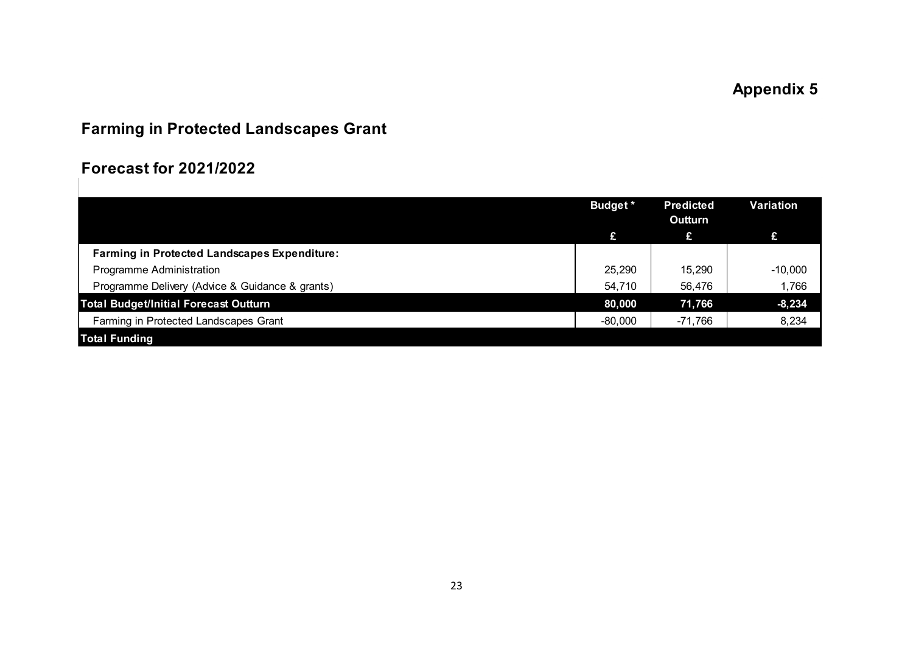# **Farming in Protected Landscapes Grant**

# **Forecast for 2021/2022**

|                                                     | <b>Budget</b> * | <b>Predicted</b><br>Outturn | Variation |
|-----------------------------------------------------|-----------------|-----------------------------|-----------|
|                                                     | £               | £                           | £         |
| <b>Farming in Protected Landscapes Expenditure:</b> |                 |                             |           |
| Programme Administration                            | 25,290          | 15.290                      | $-10,000$ |
| Programme Delivery (Advice & Guidance & grants)     | 54,710          | 56,476                      | 1,766     |
| <b>Total Budget/Initial Forecast Outturn</b>        | 80,000          | 71,766                      | $-8,234$  |
| Farming in Protected Landscapes Grant               | $-80,000$       | -71,766                     | 8,234     |
| <b>Total Funding</b>                                |                 |                             |           |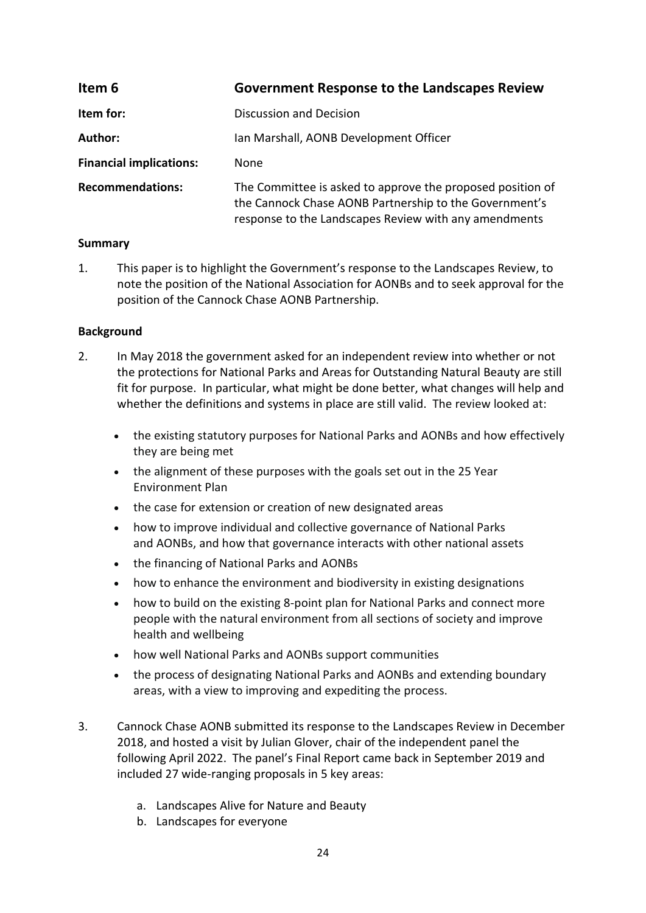<span id="page-23-0"></span>

| Item 6                         | <b>Government Response to the Landscapes Review</b>                                                                                                                           |
|--------------------------------|-------------------------------------------------------------------------------------------------------------------------------------------------------------------------------|
| Item for:                      | Discussion and Decision                                                                                                                                                       |
| Author:                        | Ian Marshall, AONB Development Officer                                                                                                                                        |
| <b>Financial implications:</b> | None                                                                                                                                                                          |
| <b>Recommendations:</b>        | The Committee is asked to approve the proposed position of<br>the Cannock Chase AONB Partnership to the Government's<br>response to the Landscapes Review with any amendments |

### **Summary**

1. This paper is to highlight the Government's response to the Landscapes Review, to note the position of the National Association for AONBs and to seek approval for the position of the Cannock Chase AONB Partnership.

### **Background**

- 2. In May 2018 the government asked for an independent review into whether or not the protections for National Parks and Areas for Outstanding Natural Beauty are still fit for purpose. In particular, what might be done better, what changes will help and whether the definitions and systems in place are still valid. The review looked at:
	- the existing statutory purposes for National Parks and AONBs and how effectively they are being met
	- the alignment of these purposes with the goals set out in the 25 Year Environment Plan
	- the case for extension or creation of new designated areas
	- how to improve individual and collective governance of National Parks and AONBs, and how that governance interacts with other national assets
	- the financing of National Parks and AONBs
	- how to enhance the environment and biodiversity in existing designations
	- how to build on the existing 8-point plan for National Parks and connect more people with the natural environment from all sections of society and improve health and wellbeing
	- how well National Parks and AONBs support communities
	- the process of designating National Parks and AONBs and extending boundary areas, with a view to improving and expediting the process.
- 3. Cannock Chase AONB submitted its response to the Landscapes Review in December 2018, and hosted a visit by Julian Glover, chair of the independent panel the following April 2022. The panel's Final Report came back in September 2019 and included 27 wide-ranging proposals in 5 key areas:
	- a. Landscapes Alive for Nature and Beauty
	- b. Landscapes for everyone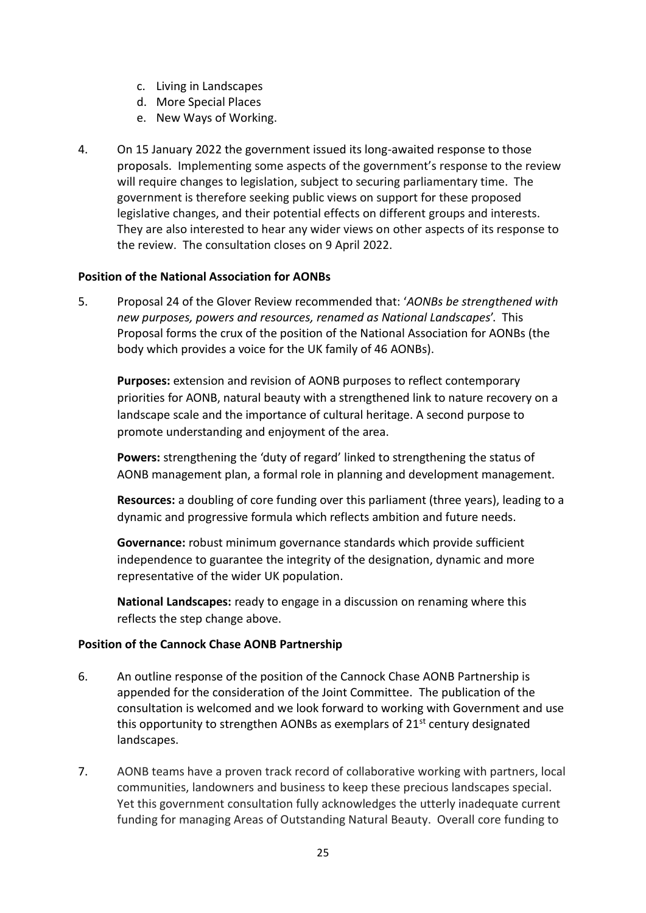- c. Living in Landscapes
- d. More Special Places
- e. New Ways of Working.
- 4. On 15 January 2022 the government issued its long-awaited response to those proposals. Implementing some aspects of the government's response to the review will require changes to legislation, subject to securing parliamentary time. The government is therefore seeking public views on support for these proposed legislative changes, and their potential effects on different groups and interests. They are also interested to hear any wider views on other aspects of its response to the review. The consultation closes on 9 April 2022.

### **Position of the National Association for AONBs**

5. Proposal 24 of the Glover Review recommended that: '*AONBs be strengthened with new purposes, powers and resources, renamed as National Landscapes*'. This Proposal forms the crux of the position of the National Association for AONBs (the body which provides a voice for the UK family of 46 AONBs).

**Purposes:** extension and revision of AONB purposes to reflect contemporary priorities for AONB, natural beauty with a strengthened link to nature recovery on a landscape scale and the importance of cultural heritage. A second purpose to promote understanding and enjoyment of the area.

**Powers:** strengthening the 'duty of regard' linked to strengthening the status of AONB management plan, a formal role in planning and development management.

**Resources:** a doubling of core funding over this parliament (three years), leading to a dynamic and progressive formula which reflects ambition and future needs.

**Governance:** robust minimum governance standards which provide sufficient independence to guarantee the integrity of the designation, dynamic and more representative of the wider UK population.

**National Landscapes:** ready to engage in a discussion on renaming where this reflects the step change above.

### **Position of the Cannock Chase AONB Partnership**

- 6. An outline response of the position of the Cannock Chase AONB Partnership is appended for the consideration of the Joint Committee. The publication of the consultation is welcomed and we look forward to working with Government and use this opportunity to strengthen AONBs as exemplars of 21<sup>st</sup> century designated landscapes.
- 7. AONB teams have a proven track record of collaborative working with partners, local communities, landowners and business to keep these precious landscapes special. Yet this government consultation fully acknowledges the utterly inadequate current funding for managing Areas of Outstanding Natural Beauty. Overall core funding to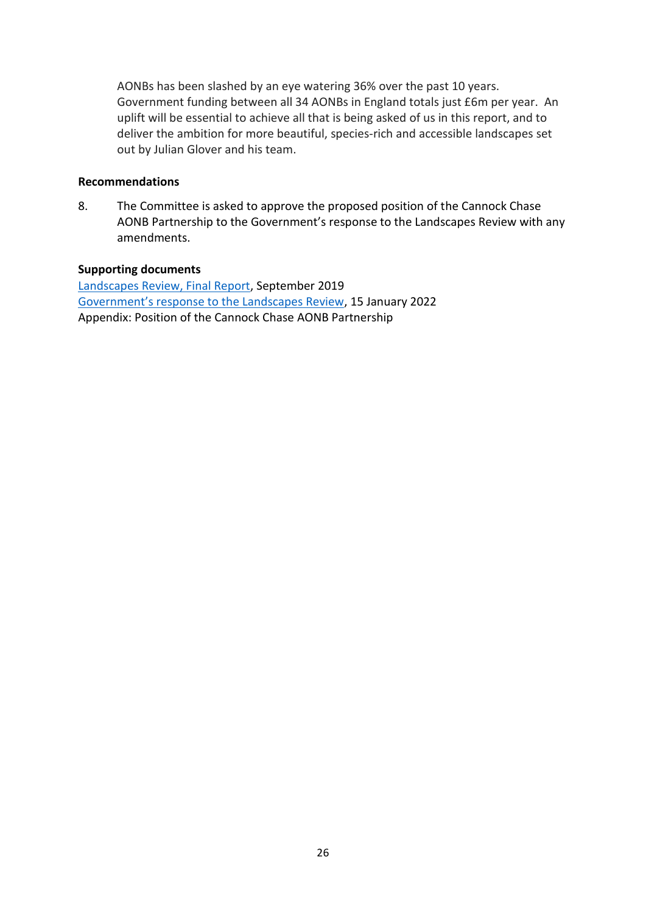AONBs has been slashed by an eye watering 36% over the past 10 years. Government funding between all 34 AONBs in England totals just £6m per year. An uplift will be essential to achieve all that is being asked of us in this report, and to deliver the ambition for more beautiful, species-rich and accessible landscapes set out by Julian Glover and his team.

### **Recommendations**

8. The Committee is asked to approve the proposed position of the Cannock Chase AONB Partnership to the Government's response to the Landscapes Review with any amendments.

### **Supporting documents**

[Landscapes Review, Final Report,](https://assets.publishing.service.gov.uk/government/uploads/system/uploads/attachment_data/file/833726/landscapes-review-final-report.pdf) September 2019 [Government's response to the Landscapes Review](https://www.gov.uk/government/publications/landscapes-review-national-parks-and-aonbs-government-response), 15 January 2022 Appendix: Position of the Cannock Chase AONB Partnership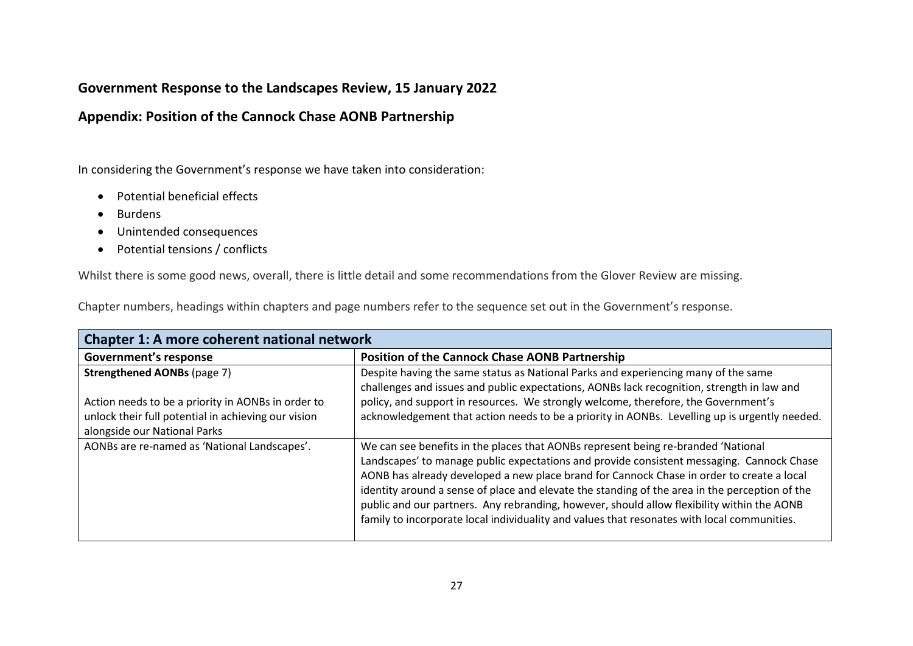### **Government Response to the Landscapes Review, 15 January 2022**

### **Appendix: Position of the Cannock Chase AONB Partnership**

In considering the Government's response we have taken into consideration:

- Potential beneficial effects
- Burdens
- Unintended consequences
- Potential tensions / conflicts

Whilst there is some good news, overall, there is little detail and some recommendations from the Glover Review are missing.

Chapter numbers, headings within chapters and page numbers refer to the sequence set out in the Government's response.

| Chapter 1: A more coherent national network                                                                                               |                                                                                                                                                                                                                                                                                                                                                                                                                                                                                                                                                                            |
|-------------------------------------------------------------------------------------------------------------------------------------------|----------------------------------------------------------------------------------------------------------------------------------------------------------------------------------------------------------------------------------------------------------------------------------------------------------------------------------------------------------------------------------------------------------------------------------------------------------------------------------------------------------------------------------------------------------------------------|
| <b>Government's response</b>                                                                                                              | <b>Position of the Cannock Chase AONB Partnership</b>                                                                                                                                                                                                                                                                                                                                                                                                                                                                                                                      |
| <b>Strengthened AONBs (page 7)</b>                                                                                                        | Despite having the same status as National Parks and experiencing many of the same<br>challenges and issues and public expectations, AONBs lack recognition, strength in law and                                                                                                                                                                                                                                                                                                                                                                                           |
| Action needs to be a priority in AONBs in order to<br>unlock their full potential in achieving our vision<br>alongside our National Parks | policy, and support in resources. We strongly welcome, therefore, the Government's<br>acknowledgement that action needs to be a priority in AONBs. Levelling up is urgently needed.                                                                                                                                                                                                                                                                                                                                                                                        |
| AONBs are re-named as 'National Landscapes'.                                                                                              | We can see benefits in the places that AONBs represent being re-branded 'National<br>Landscapes' to manage public expectations and provide consistent messaging. Cannock Chase<br>AONB has already developed a new place brand for Cannock Chase in order to create a local<br>identity around a sense of place and elevate the standing of the area in the perception of the<br>public and our partners. Any rebranding, however, should allow flexibility within the AONB<br>family to incorporate local individuality and values that resonates with local communities. |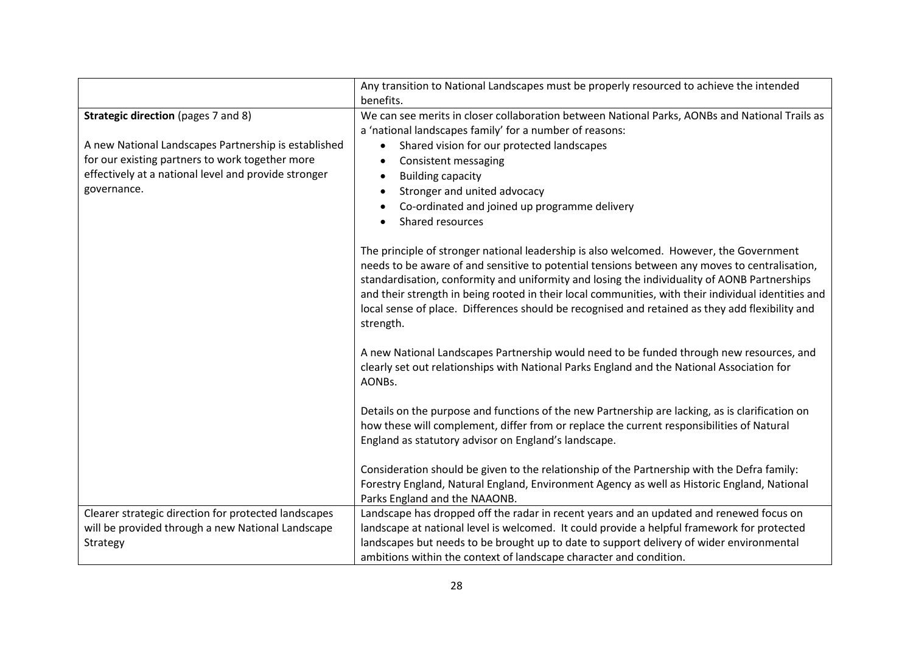|                                                      | Any transition to National Landscapes must be properly resourced to achieve the intended                                                                                                                                                                                                                                                                                                                                                                                                                                                                                                                                                                                                                            |
|------------------------------------------------------|---------------------------------------------------------------------------------------------------------------------------------------------------------------------------------------------------------------------------------------------------------------------------------------------------------------------------------------------------------------------------------------------------------------------------------------------------------------------------------------------------------------------------------------------------------------------------------------------------------------------------------------------------------------------------------------------------------------------|
|                                                      | benefits.                                                                                                                                                                                                                                                                                                                                                                                                                                                                                                                                                                                                                                                                                                           |
| <b>Strategic direction</b> (pages 7 and 8)           | We can see merits in closer collaboration between National Parks, AONBs and National Trails as                                                                                                                                                                                                                                                                                                                                                                                                                                                                                                                                                                                                                      |
|                                                      | a 'national landscapes family' for a number of reasons:                                                                                                                                                                                                                                                                                                                                                                                                                                                                                                                                                                                                                                                             |
| A new National Landscapes Partnership is established | Shared vision for our protected landscapes<br>$\bullet$                                                                                                                                                                                                                                                                                                                                                                                                                                                                                                                                                                                                                                                             |
| for our existing partners to work together more      | Consistent messaging                                                                                                                                                                                                                                                                                                                                                                                                                                                                                                                                                                                                                                                                                                |
| effectively at a national level and provide stronger | <b>Building capacity</b>                                                                                                                                                                                                                                                                                                                                                                                                                                                                                                                                                                                                                                                                                            |
| governance.                                          | Stronger and united advocacy                                                                                                                                                                                                                                                                                                                                                                                                                                                                                                                                                                                                                                                                                        |
|                                                      | Co-ordinated and joined up programme delivery                                                                                                                                                                                                                                                                                                                                                                                                                                                                                                                                                                                                                                                                       |
|                                                      | Shared resources                                                                                                                                                                                                                                                                                                                                                                                                                                                                                                                                                                                                                                                                                                    |
|                                                      | The principle of stronger national leadership is also welcomed. However, the Government<br>needs to be aware of and sensitive to potential tensions between any moves to centralisation,<br>standardisation, conformity and uniformity and losing the individuality of AONB Partnerships<br>and their strength in being rooted in their local communities, with their individual identities and<br>local sense of place. Differences should be recognised and retained as they add flexibility and<br>strength.<br>A new National Landscapes Partnership would need to be funded through new resources, and<br>clearly set out relationships with National Parks England and the National Association for<br>AONBs. |
|                                                      | Details on the purpose and functions of the new Partnership are lacking, as is clarification on<br>how these will complement, differ from or replace the current responsibilities of Natural<br>England as statutory advisor on England's landscape.                                                                                                                                                                                                                                                                                                                                                                                                                                                                |
|                                                      | Consideration should be given to the relationship of the Partnership with the Defra family:<br>Forestry England, Natural England, Environment Agency as well as Historic England, National<br>Parks England and the NAAONB.                                                                                                                                                                                                                                                                                                                                                                                                                                                                                         |
| Clearer strategic direction for protected landscapes | Landscape has dropped off the radar in recent years and an updated and renewed focus on                                                                                                                                                                                                                                                                                                                                                                                                                                                                                                                                                                                                                             |
| will be provided through a new National Landscape    | landscape at national level is welcomed. It could provide a helpful framework for protected                                                                                                                                                                                                                                                                                                                                                                                                                                                                                                                                                                                                                         |
| Strategy                                             | landscapes but needs to be brought up to date to support delivery of wider environmental                                                                                                                                                                                                                                                                                                                                                                                                                                                                                                                                                                                                                            |
|                                                      | ambitions within the context of landscape character and condition.                                                                                                                                                                                                                                                                                                                                                                                                                                                                                                                                                                                                                                                  |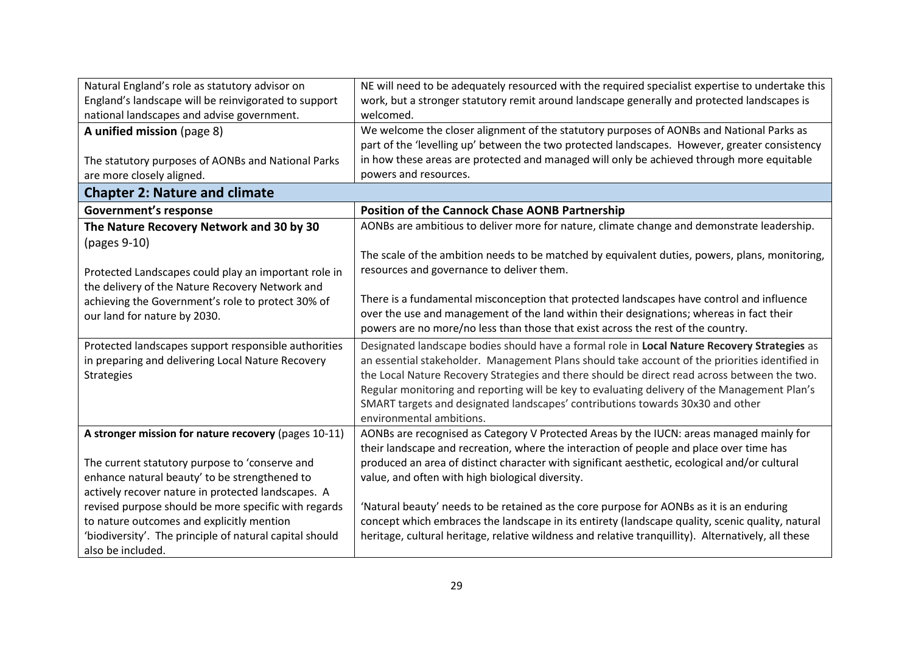| Natural England's role as statutory advisor on                                                  | NE will need to be adequately resourced with the required specialist expertise to undertake this                                                                                         |  |
|-------------------------------------------------------------------------------------------------|------------------------------------------------------------------------------------------------------------------------------------------------------------------------------------------|--|
| England's landscape will be reinvigorated to support                                            | work, but a stronger statutory remit around landscape generally and protected landscapes is                                                                                              |  |
| national landscapes and advise government.                                                      | welcomed.                                                                                                                                                                                |  |
| A unified mission (page 8)                                                                      | We welcome the closer alignment of the statutory purposes of AONBs and National Parks as                                                                                                 |  |
|                                                                                                 | part of the 'levelling up' between the two protected landscapes. However, greater consistency                                                                                            |  |
| The statutory purposes of AONBs and National Parks                                              | in how these areas are protected and managed will only be achieved through more equitable                                                                                                |  |
| are more closely aligned.                                                                       | powers and resources.                                                                                                                                                                    |  |
| <b>Chapter 2: Nature and climate</b>                                                            |                                                                                                                                                                                          |  |
| <b>Government's response</b>                                                                    | <b>Position of the Cannock Chase AONB Partnership</b>                                                                                                                                    |  |
| The Nature Recovery Network and 30 by 30                                                        | AONBs are ambitious to deliver more for nature, climate change and demonstrate leadership.                                                                                               |  |
| (pages 9-10)                                                                                    |                                                                                                                                                                                          |  |
|                                                                                                 | The scale of the ambition needs to be matched by equivalent duties, powers, plans, monitoring,                                                                                           |  |
| Protected Landscapes could play an important role in                                            | resources and governance to deliver them.                                                                                                                                                |  |
| the delivery of the Nature Recovery Network and                                                 |                                                                                                                                                                                          |  |
| achieving the Government's role to protect 30% of                                               | There is a fundamental misconception that protected landscapes have control and influence                                                                                                |  |
| our land for nature by 2030.                                                                    | over the use and management of the land within their designations; whereas in fact their                                                                                                 |  |
|                                                                                                 | powers are no more/no less than those that exist across the rest of the country.                                                                                                         |  |
| Protected landscapes support responsible authorities                                            | Designated landscape bodies should have a formal role in Local Nature Recovery Strategies as                                                                                             |  |
| in preparing and delivering Local Nature Recovery                                               | an essential stakeholder. Management Plans should take account of the priorities identified in                                                                                           |  |
| <b>Strategies</b>                                                                               | the Local Nature Recovery Strategies and there should be direct read across between the two.                                                                                             |  |
|                                                                                                 | Regular monitoring and reporting will be key to evaluating delivery of the Management Plan's                                                                                             |  |
|                                                                                                 | SMART targets and designated landscapes' contributions towards 30x30 and other                                                                                                           |  |
|                                                                                                 | environmental ambitions.                                                                                                                                                                 |  |
| A stronger mission for nature recovery (pages 10-11)                                            | AONBs are recognised as Category V Protected Areas by the IUCN: areas managed mainly for                                                                                                 |  |
|                                                                                                 | their landscape and recreation, where the interaction of people and place over time has<br>produced an area of distinct character with significant aesthetic, ecological and/or cultural |  |
| The current statutory purpose to 'conserve and<br>enhance natural beauty' to be strengthened to | value, and often with high biological diversity.                                                                                                                                         |  |
| actively recover nature in protected landscapes. A                                              |                                                                                                                                                                                          |  |
| revised purpose should be more specific with regards                                            | 'Natural beauty' needs to be retained as the core purpose for AONBs as it is an enduring                                                                                                 |  |
| to nature outcomes and explicitly mention                                                       | concept which embraces the landscape in its entirety (landscape quality, scenic quality, natural                                                                                         |  |
| 'biodiversity'. The principle of natural capital should                                         | heritage, cultural heritage, relative wildness and relative tranquillity). Alternatively, all these                                                                                      |  |
| also be included.                                                                               |                                                                                                                                                                                          |  |
|                                                                                                 |                                                                                                                                                                                          |  |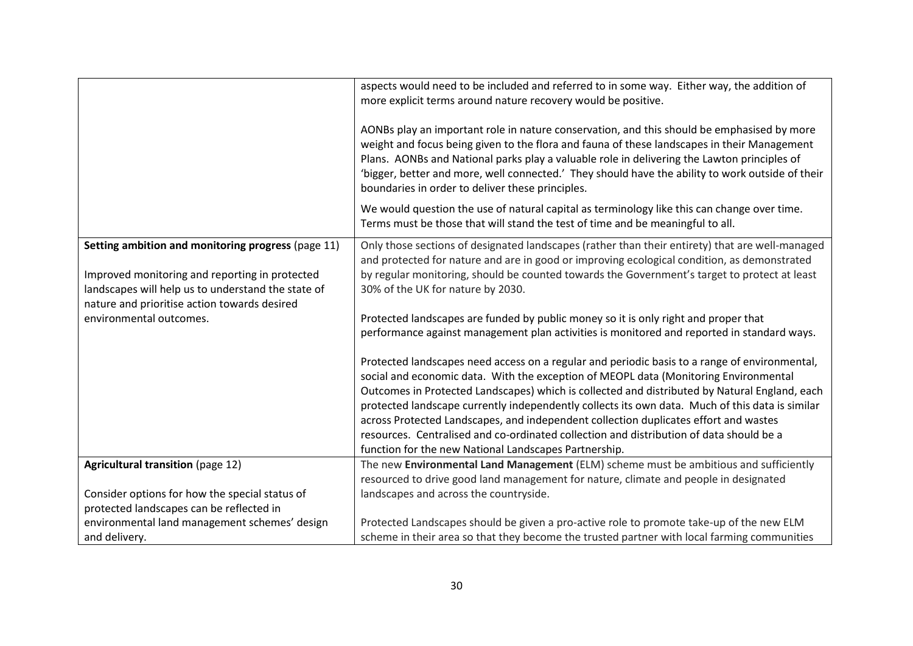|                                                                                                                                                                                                            | aspects would need to be included and referred to in some way. Either way, the addition of<br>more explicit terms around nature recovery would be positive.<br>AONBs play an important role in nature conservation, and this should be emphasised by more<br>weight and focus being given to the flora and fauna of these landscapes in their Management<br>Plans. AONBs and National parks play a valuable role in delivering the Lawton principles of<br>'bigger, better and more, well connected.' They should have the ability to work outside of their<br>boundaries in order to deliver these principles.<br>We would question the use of natural capital as terminology like this can change over time. |
|------------------------------------------------------------------------------------------------------------------------------------------------------------------------------------------------------------|----------------------------------------------------------------------------------------------------------------------------------------------------------------------------------------------------------------------------------------------------------------------------------------------------------------------------------------------------------------------------------------------------------------------------------------------------------------------------------------------------------------------------------------------------------------------------------------------------------------------------------------------------------------------------------------------------------------|
|                                                                                                                                                                                                            | Terms must be those that will stand the test of time and be meaningful to all.                                                                                                                                                                                                                                                                                                                                                                                                                                                                                                                                                                                                                                 |
| Setting ambition and monitoring progress (page 11)<br>Improved monitoring and reporting in protected<br>landscapes will help us to understand the state of<br>nature and prioritise action towards desired | Only those sections of designated landscapes (rather than their entirety) that are well-managed<br>and protected for nature and are in good or improving ecological condition, as demonstrated<br>by regular monitoring, should be counted towards the Government's target to protect at least<br>30% of the UK for nature by 2030.                                                                                                                                                                                                                                                                                                                                                                            |
| environmental outcomes.                                                                                                                                                                                    | Protected landscapes are funded by public money so it is only right and proper that<br>performance against management plan activities is monitored and reported in standard ways.                                                                                                                                                                                                                                                                                                                                                                                                                                                                                                                              |
|                                                                                                                                                                                                            | Protected landscapes need access on a regular and periodic basis to a range of environmental,<br>social and economic data. With the exception of MEOPL data (Monitoring Environmental<br>Outcomes in Protected Landscapes) which is collected and distributed by Natural England, each<br>protected landscape currently independently collects its own data. Much of this data is similar<br>across Protected Landscapes, and independent collection duplicates effort and wastes<br>resources. Centralised and co-ordinated collection and distribution of data should be a<br>function for the new National Landscapes Partnership.                                                                          |
| <b>Agricultural transition (page 12)</b>                                                                                                                                                                   | The new Environmental Land Management (ELM) scheme must be ambitious and sufficiently<br>resourced to drive good land management for nature, climate and people in designated                                                                                                                                                                                                                                                                                                                                                                                                                                                                                                                                  |
| Consider options for how the special status of<br>protected landscapes can be reflected in                                                                                                                 | landscapes and across the countryside.                                                                                                                                                                                                                                                                                                                                                                                                                                                                                                                                                                                                                                                                         |
| environmental land management schemes' design<br>and delivery.                                                                                                                                             | Protected Landscapes should be given a pro-active role to promote take-up of the new ELM<br>scheme in their area so that they become the trusted partner with local farming communities                                                                                                                                                                                                                                                                                                                                                                                                                                                                                                                        |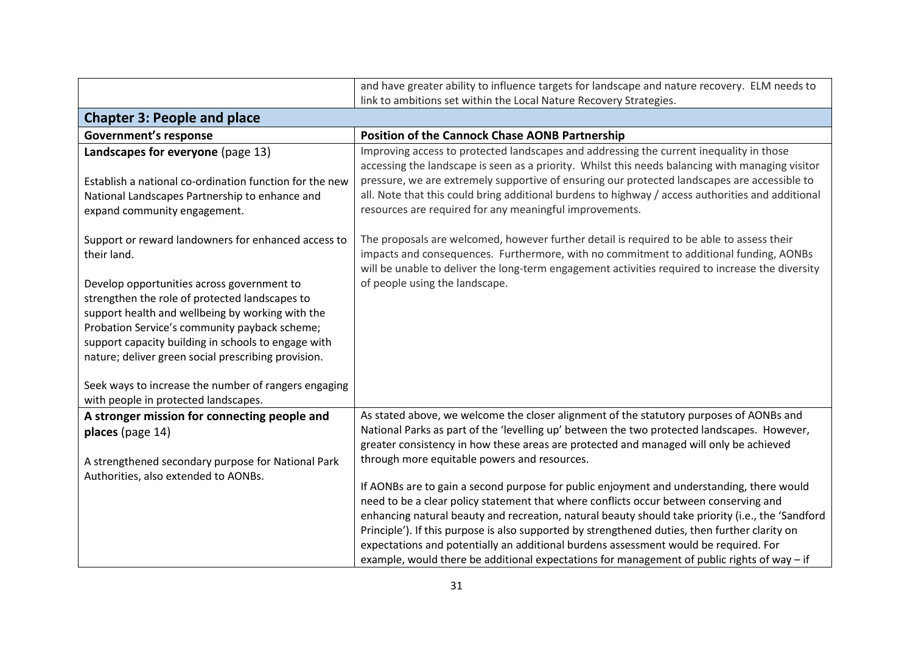|                                                                                                                                                                                                                                                                                                                                                                                                                                               | and have greater ability to influence targets for landscape and nature recovery. ELM needs to                                                                                                                                                                                                                                                                                                                                                                                                                                                                                    |
|-----------------------------------------------------------------------------------------------------------------------------------------------------------------------------------------------------------------------------------------------------------------------------------------------------------------------------------------------------------------------------------------------------------------------------------------------|----------------------------------------------------------------------------------------------------------------------------------------------------------------------------------------------------------------------------------------------------------------------------------------------------------------------------------------------------------------------------------------------------------------------------------------------------------------------------------------------------------------------------------------------------------------------------------|
|                                                                                                                                                                                                                                                                                                                                                                                                                                               | link to ambitions set within the Local Nature Recovery Strategies.                                                                                                                                                                                                                                                                                                                                                                                                                                                                                                               |
| <b>Chapter 3: People and place</b>                                                                                                                                                                                                                                                                                                                                                                                                            |                                                                                                                                                                                                                                                                                                                                                                                                                                                                                                                                                                                  |
| <b>Government's response</b>                                                                                                                                                                                                                                                                                                                                                                                                                  | <b>Position of the Cannock Chase AONB Partnership</b>                                                                                                                                                                                                                                                                                                                                                                                                                                                                                                                            |
| Landscapes for everyone (page 13)<br>Establish a national co-ordination function for the new<br>National Landscapes Partnership to enhance and<br>expand community engagement.                                                                                                                                                                                                                                                                | Improving access to protected landscapes and addressing the current inequality in those<br>accessing the landscape is seen as a priority. Whilst this needs balancing with managing visitor<br>pressure, we are extremely supportive of ensuring our protected landscapes are accessible to<br>all. Note that this could bring additional burdens to highway / access authorities and additional<br>resources are required for any meaningful improvements.                                                                                                                      |
| Support or reward landowners for enhanced access to<br>their land.<br>Develop opportunities across government to<br>strengthen the role of protected landscapes to<br>support health and wellbeing by working with the<br>Probation Service's community payback scheme;<br>support capacity building in schools to engage with<br>nature; deliver green social prescribing provision.<br>Seek ways to increase the number of rangers engaging | The proposals are welcomed, however further detail is required to be able to assess their<br>impacts and consequences. Furthermore, with no commitment to additional funding, AONBs<br>will be unable to deliver the long-term engagement activities required to increase the diversity<br>of people using the landscape.                                                                                                                                                                                                                                                        |
| with people in protected landscapes.                                                                                                                                                                                                                                                                                                                                                                                                          |                                                                                                                                                                                                                                                                                                                                                                                                                                                                                                                                                                                  |
| A stronger mission for connecting people and<br>places (page 14)<br>A strengthened secondary purpose for National Park                                                                                                                                                                                                                                                                                                                        | As stated above, we welcome the closer alignment of the statutory purposes of AONBs and<br>National Parks as part of the 'levelling up' between the two protected landscapes. However,<br>greater consistency in how these areas are protected and managed will only be achieved<br>through more equitable powers and resources.                                                                                                                                                                                                                                                 |
| Authorities, also extended to AONBs.                                                                                                                                                                                                                                                                                                                                                                                                          | If AONBs are to gain a second purpose for public enjoyment and understanding, there would<br>need to be a clear policy statement that where conflicts occur between conserving and<br>enhancing natural beauty and recreation, natural beauty should take priority (i.e., the 'Sandford<br>Principle'). If this purpose is also supported by strengthened duties, then further clarity on<br>expectations and potentially an additional burdens assessment would be required. For<br>example, would there be additional expectations for management of public rights of way - if |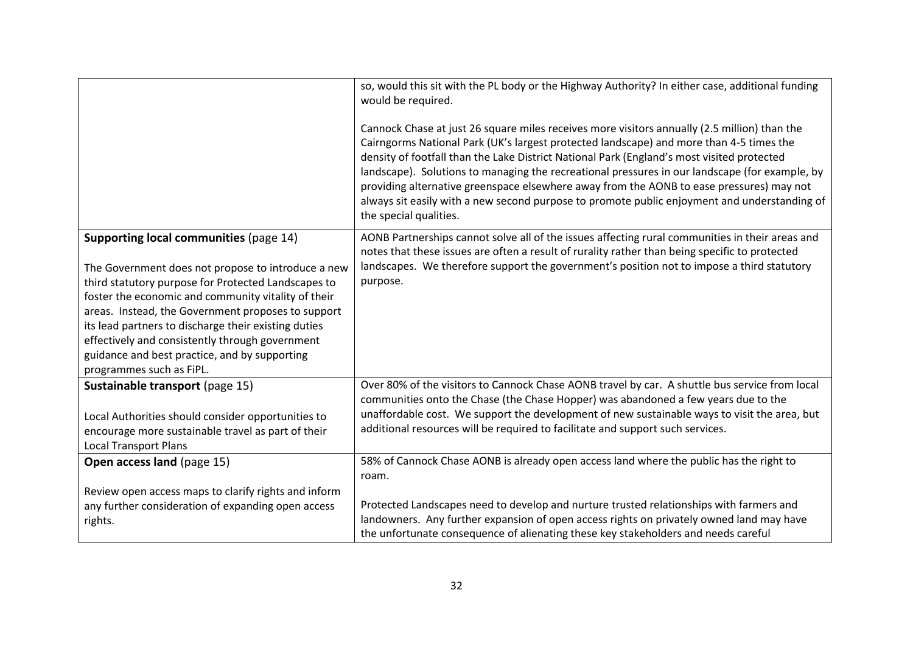|                                                                                                                                                                                                                                                                                                                                                                                                                                                          | so, would this sit with the PL body or the Highway Authority? In either case, additional funding<br>would be required.<br>Cannock Chase at just 26 square miles receives more visitors annually (2.5 million) than the<br>Cairngorms National Park (UK's largest protected landscape) and more than 4-5 times the<br>density of footfall than the Lake District National Park (England's most visited protected<br>landscape). Solutions to managing the recreational pressures in our landscape (for example, by<br>providing alternative greenspace elsewhere away from the AONB to ease pressures) may not<br>always sit easily with a new second purpose to promote public enjoyment and understanding of<br>the special qualities. |
|----------------------------------------------------------------------------------------------------------------------------------------------------------------------------------------------------------------------------------------------------------------------------------------------------------------------------------------------------------------------------------------------------------------------------------------------------------|-----------------------------------------------------------------------------------------------------------------------------------------------------------------------------------------------------------------------------------------------------------------------------------------------------------------------------------------------------------------------------------------------------------------------------------------------------------------------------------------------------------------------------------------------------------------------------------------------------------------------------------------------------------------------------------------------------------------------------------------|
| Supporting local communities (page 14)<br>The Government does not propose to introduce a new<br>third statutory purpose for Protected Landscapes to<br>foster the economic and community vitality of their<br>areas. Instead, the Government proposes to support<br>its lead partners to discharge their existing duties<br>effectively and consistently through government<br>guidance and best practice, and by supporting<br>programmes such as FiPL. | AONB Partnerships cannot solve all of the issues affecting rural communities in their areas and<br>notes that these issues are often a result of rurality rather than being specific to protected<br>landscapes. We therefore support the government's position not to impose a third statutory<br>purpose.                                                                                                                                                                                                                                                                                                                                                                                                                             |
| Sustainable transport (page 15)<br>Local Authorities should consider opportunities to<br>encourage more sustainable travel as part of their<br><b>Local Transport Plans</b>                                                                                                                                                                                                                                                                              | Over 80% of the visitors to Cannock Chase AONB travel by car. A shuttle bus service from local<br>communities onto the Chase (the Chase Hopper) was abandoned a few years due to the<br>unaffordable cost. We support the development of new sustainable ways to visit the area, but<br>additional resources will be required to facilitate and support such services.                                                                                                                                                                                                                                                                                                                                                                  |
| Open access land (page 15)<br>Review open access maps to clarify rights and inform<br>any further consideration of expanding open access<br>rights.                                                                                                                                                                                                                                                                                                      | 58% of Cannock Chase AONB is already open access land where the public has the right to<br>roam.<br>Protected Landscapes need to develop and nurture trusted relationships with farmers and<br>landowners. Any further expansion of open access rights on privately owned land may have<br>the unfortunate consequence of alienating these key stakeholders and needs careful                                                                                                                                                                                                                                                                                                                                                           |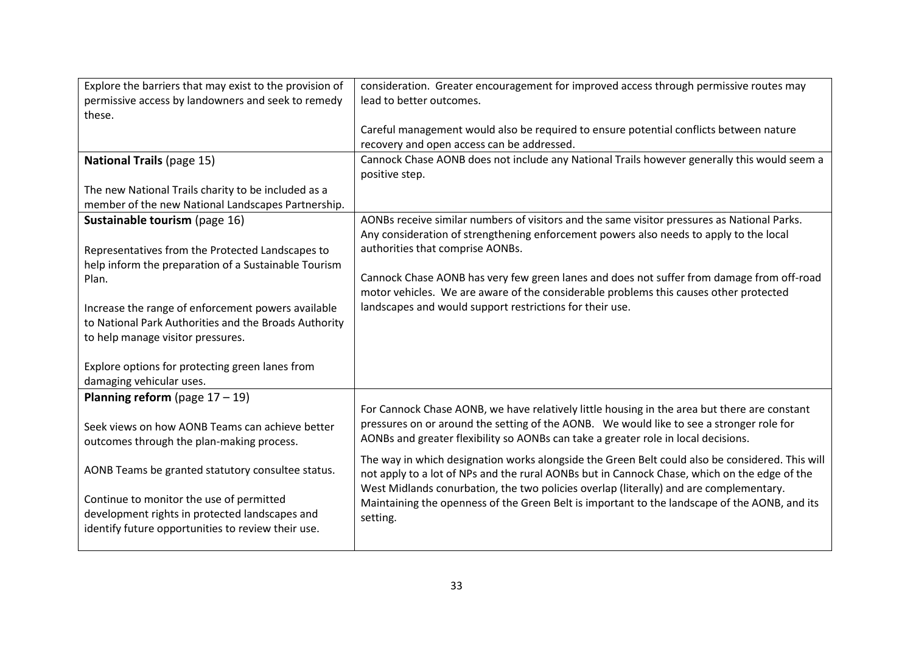| Explore the barriers that may exist to the provision of | consideration. Greater encouragement for improved access through permissive routes may                                                                                             |
|---------------------------------------------------------|------------------------------------------------------------------------------------------------------------------------------------------------------------------------------------|
| permissive access by landowners and seek to remedy      | lead to better outcomes.                                                                                                                                                           |
| these.                                                  |                                                                                                                                                                                    |
|                                                         | Careful management would also be required to ensure potential conflicts between nature                                                                                             |
|                                                         | recovery and open access can be addressed.                                                                                                                                         |
| <b>National Trails (page 15)</b>                        | Cannock Chase AONB does not include any National Trails however generally this would seem a<br>positive step.                                                                      |
| The new National Trails charity to be included as a     |                                                                                                                                                                                    |
| member of the new National Landscapes Partnership.      |                                                                                                                                                                                    |
| Sustainable tourism (page 16)                           | AONBs receive similar numbers of visitors and the same visitor pressures as National Parks.                                                                                        |
|                                                         | Any consideration of strengthening enforcement powers also needs to apply to the local                                                                                             |
| Representatives from the Protected Landscapes to        | authorities that comprise AONBs.                                                                                                                                                   |
| help inform the preparation of a Sustainable Tourism    |                                                                                                                                                                                    |
| Plan.                                                   | Cannock Chase AONB has very few green lanes and does not suffer from damage from off-road<br>motor vehicles. We are aware of the considerable problems this causes other protected |
| Increase the range of enforcement powers available      | landscapes and would support restrictions for their use.                                                                                                                           |
| to National Park Authorities and the Broads Authority   |                                                                                                                                                                                    |
| to help manage visitor pressures.                       |                                                                                                                                                                                    |
|                                                         |                                                                                                                                                                                    |
| Explore options for protecting green lanes from         |                                                                                                                                                                                    |
| damaging vehicular uses.                                |                                                                                                                                                                                    |
| Planning reform (page $17-19$ )                         |                                                                                                                                                                                    |
|                                                         | For Cannock Chase AONB, we have relatively little housing in the area but there are constant                                                                                       |
| Seek views on how AONB Teams can achieve better         | pressures on or around the setting of the AONB. We would like to see a stronger role for                                                                                           |
| outcomes through the plan-making process.               | AONBs and greater flexibility so AONBs can take a greater role in local decisions.                                                                                                 |
|                                                         | The way in which designation works alongside the Green Belt could also be considered. This will                                                                                    |
| AONB Teams be granted statutory consultee status.       | not apply to a lot of NPs and the rural AONBs but in Cannock Chase, which on the edge of the                                                                                       |
|                                                         | West Midlands conurbation, the two policies overlap (literally) and are complementary.                                                                                             |
| Continue to monitor the use of permitted                | Maintaining the openness of the Green Belt is important to the landscape of the AONB, and its                                                                                      |
| development rights in protected landscapes and          | setting.                                                                                                                                                                           |
| identify future opportunities to review their use.      |                                                                                                                                                                                    |
|                                                         |                                                                                                                                                                                    |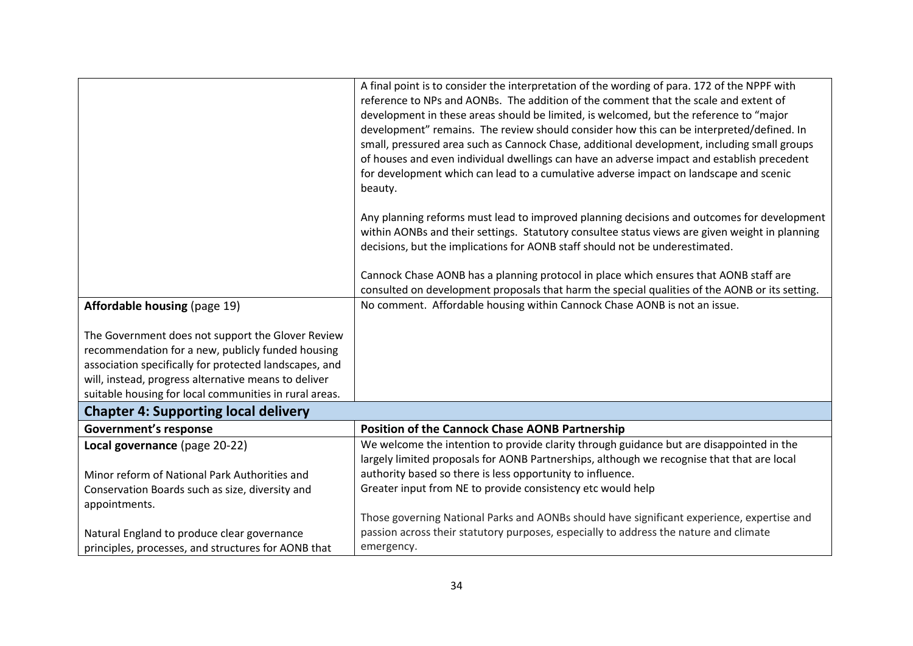|                                                                                                                                                                                                                                                                                    | A final point is to consider the interpretation of the wording of para. 172 of the NPPF with<br>reference to NPs and AONBs. The addition of the comment that the scale and extent of<br>development in these areas should be limited, is welcomed, but the reference to "major<br>development" remains. The review should consider how this can be interpreted/defined. In<br>small, pressured area such as Cannock Chase, additional development, including small groups<br>of houses and even individual dwellings can have an adverse impact and establish precedent<br>for development which can lead to a cumulative adverse impact on landscape and scenic<br>beauty.<br>Any planning reforms must lead to improved planning decisions and outcomes for development<br>within AONBs and their settings. Statutory consultee status views are given weight in planning |
|------------------------------------------------------------------------------------------------------------------------------------------------------------------------------------------------------------------------------------------------------------------------------------|-----------------------------------------------------------------------------------------------------------------------------------------------------------------------------------------------------------------------------------------------------------------------------------------------------------------------------------------------------------------------------------------------------------------------------------------------------------------------------------------------------------------------------------------------------------------------------------------------------------------------------------------------------------------------------------------------------------------------------------------------------------------------------------------------------------------------------------------------------------------------------|
|                                                                                                                                                                                                                                                                                    | decisions, but the implications for AONB staff should not be underestimated.                                                                                                                                                                                                                                                                                                                                                                                                                                                                                                                                                                                                                                                                                                                                                                                                |
|                                                                                                                                                                                                                                                                                    | Cannock Chase AONB has a planning protocol in place which ensures that AONB staff are<br>consulted on development proposals that harm the special qualities of the AONB or its setting.                                                                                                                                                                                                                                                                                                                                                                                                                                                                                                                                                                                                                                                                                     |
| <b>Affordable housing (page 19)</b>                                                                                                                                                                                                                                                | No comment. Affordable housing within Cannock Chase AONB is not an issue.                                                                                                                                                                                                                                                                                                                                                                                                                                                                                                                                                                                                                                                                                                                                                                                                   |
| The Government does not support the Glover Review<br>recommendation for a new, publicly funded housing<br>association specifically for protected landscapes, and<br>will, instead, progress alternative means to deliver<br>suitable housing for local communities in rural areas. |                                                                                                                                                                                                                                                                                                                                                                                                                                                                                                                                                                                                                                                                                                                                                                                                                                                                             |
| <b>Chapter 4: Supporting local delivery</b>                                                                                                                                                                                                                                        |                                                                                                                                                                                                                                                                                                                                                                                                                                                                                                                                                                                                                                                                                                                                                                                                                                                                             |
| <b>Government's response</b>                                                                                                                                                                                                                                                       | <b>Position of the Cannock Chase AONB Partnership</b>                                                                                                                                                                                                                                                                                                                                                                                                                                                                                                                                                                                                                                                                                                                                                                                                                       |
| Local governance (page 20-22)                                                                                                                                                                                                                                                      | We welcome the intention to provide clarity through guidance but are disappointed in the<br>largely limited proposals for AONB Partnerships, although we recognise that that are local                                                                                                                                                                                                                                                                                                                                                                                                                                                                                                                                                                                                                                                                                      |
| Minor reform of National Park Authorities and                                                                                                                                                                                                                                      | authority based so there is less opportunity to influence.                                                                                                                                                                                                                                                                                                                                                                                                                                                                                                                                                                                                                                                                                                                                                                                                                  |
| Conservation Boards such as size, diversity and                                                                                                                                                                                                                                    | Greater input from NE to provide consistency etc would help                                                                                                                                                                                                                                                                                                                                                                                                                                                                                                                                                                                                                                                                                                                                                                                                                 |
| appointments.                                                                                                                                                                                                                                                                      |                                                                                                                                                                                                                                                                                                                                                                                                                                                                                                                                                                                                                                                                                                                                                                                                                                                                             |
|                                                                                                                                                                                                                                                                                    | Those governing National Parks and AONBs should have significant experience, expertise and                                                                                                                                                                                                                                                                                                                                                                                                                                                                                                                                                                                                                                                                                                                                                                                  |
| Natural England to produce clear governance                                                                                                                                                                                                                                        | passion across their statutory purposes, especially to address the nature and climate                                                                                                                                                                                                                                                                                                                                                                                                                                                                                                                                                                                                                                                                                                                                                                                       |
| principles, processes, and structures for AONB that                                                                                                                                                                                                                                | emergency.                                                                                                                                                                                                                                                                                                                                                                                                                                                                                                                                                                                                                                                                                                                                                                                                                                                                  |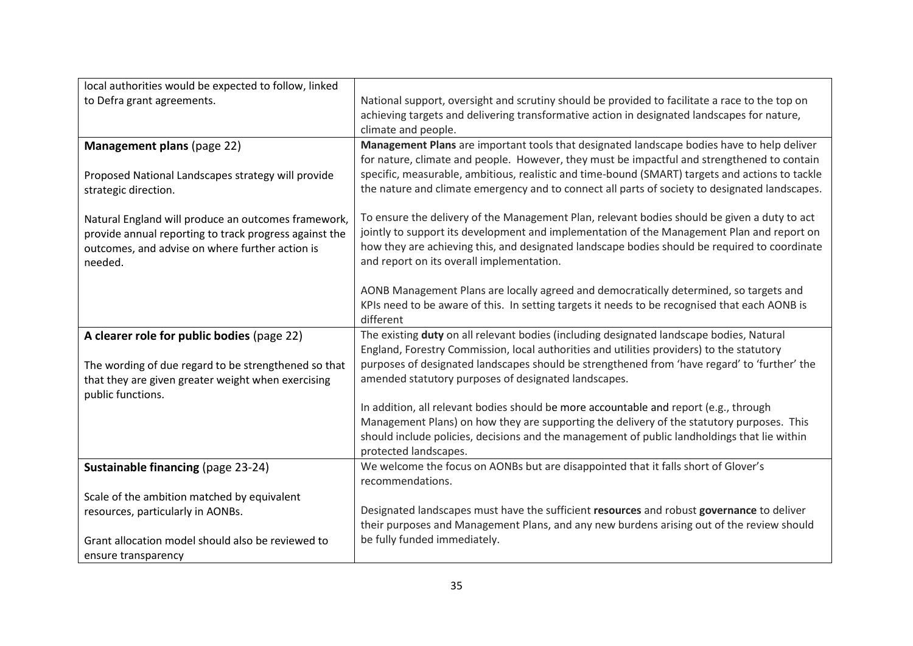| local authorities would be expected to follow, linked  |                                                                                                                                                                                           |
|--------------------------------------------------------|-------------------------------------------------------------------------------------------------------------------------------------------------------------------------------------------|
| to Defra grant agreements.                             | National support, oversight and scrutiny should be provided to facilitate a race to the top on                                                                                            |
|                                                        | achieving targets and delivering transformative action in designated landscapes for nature,                                                                                               |
|                                                        | climate and people.                                                                                                                                                                       |
| Management plans (page 22)                             | Management Plans are important tools that designated landscape bodies have to help deliver<br>for nature, climate and people. However, they must be impactful and strengthened to contain |
| Proposed National Landscapes strategy will provide     | specific, measurable, ambitious, realistic and time-bound (SMART) targets and actions to tackle                                                                                           |
| strategic direction.                                   | the nature and climate emergency and to connect all parts of society to designated landscapes.                                                                                            |
|                                                        |                                                                                                                                                                                           |
| Natural England will produce an outcomes framework,    | To ensure the delivery of the Management Plan, relevant bodies should be given a duty to act                                                                                              |
| provide annual reporting to track progress against the | jointly to support its development and implementation of the Management Plan and report on                                                                                                |
| outcomes, and advise on where further action is        | how they are achieving this, and designated landscape bodies should be required to coordinate                                                                                             |
| needed.                                                | and report on its overall implementation.                                                                                                                                                 |
|                                                        | AONB Management Plans are locally agreed and democratically determined, so targets and                                                                                                    |
|                                                        | KPIs need to be aware of this. In setting targets it needs to be recognised that each AONB is                                                                                             |
|                                                        | different                                                                                                                                                                                 |
| A clearer role for public bodies (page 22)             | The existing duty on all relevant bodies (including designated landscape bodies, Natural                                                                                                  |
|                                                        | England, Forestry Commission, local authorities and utilities providers) to the statutory                                                                                                 |
| The wording of due regard to be strengthened so that   | purposes of designated landscapes should be strengthened from 'have regard' to 'further' the                                                                                              |
| that they are given greater weight when exercising     | amended statutory purposes of designated landscapes.                                                                                                                                      |
| public functions.                                      | In addition, all relevant bodies should be more accountable and report (e.g., through                                                                                                     |
|                                                        | Management Plans) on how they are supporting the delivery of the statutory purposes. This                                                                                                 |
|                                                        | should include policies, decisions and the management of public landholdings that lie within                                                                                              |
|                                                        | protected landscapes.                                                                                                                                                                     |
| Sustainable financing (page 23-24)                     | We welcome the focus on AONBs but are disappointed that it falls short of Glover's                                                                                                        |
|                                                        | recommendations.                                                                                                                                                                          |
| Scale of the ambition matched by equivalent            |                                                                                                                                                                                           |
| resources, particularly in AONBs.                      | Designated landscapes must have the sufficient resources and robust governance to deliver                                                                                                 |
|                                                        | their purposes and Management Plans, and any new burdens arising out of the review should                                                                                                 |
| Grant allocation model should also be reviewed to      | be fully funded immediately.                                                                                                                                                              |
| ensure transparency                                    |                                                                                                                                                                                           |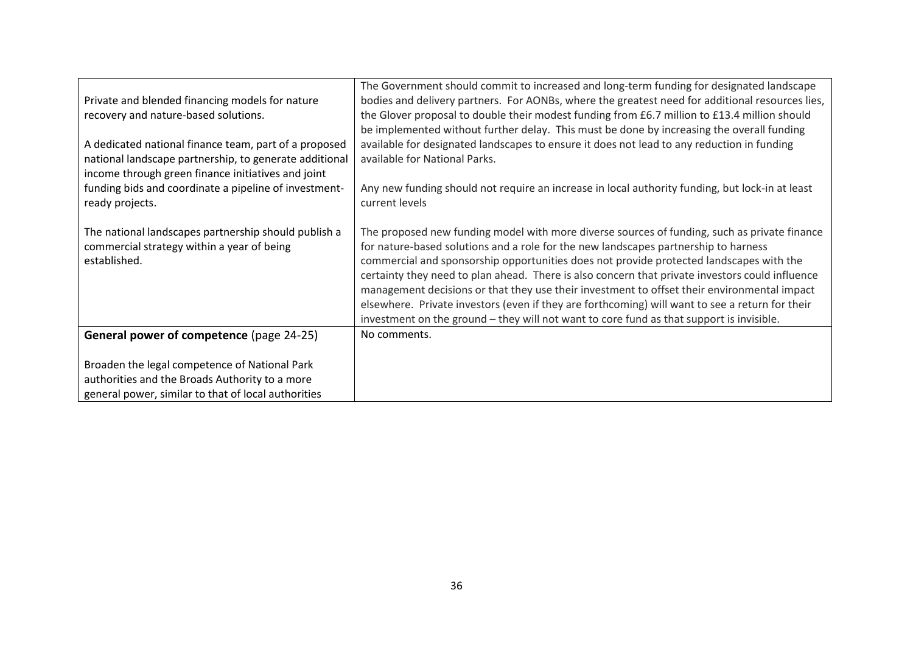| Private and blended financing models for nature<br>recovery and nature-based solutions.<br>A dedicated national finance team, part of a proposed<br>national landscape partnership, to generate additional<br>income through green finance initiatives and joint | The Government should commit to increased and long-term funding for designated landscape<br>bodies and delivery partners. For AONBs, where the greatest need for additional resources lies,<br>the Glover proposal to double their modest funding from £6.7 million to £13.4 million should<br>be implemented without further delay. This must be done by increasing the overall funding<br>available for designated landscapes to ensure it does not lead to any reduction in funding<br>available for National Parks.                                                                                                                                                         |
|------------------------------------------------------------------------------------------------------------------------------------------------------------------------------------------------------------------------------------------------------------------|---------------------------------------------------------------------------------------------------------------------------------------------------------------------------------------------------------------------------------------------------------------------------------------------------------------------------------------------------------------------------------------------------------------------------------------------------------------------------------------------------------------------------------------------------------------------------------------------------------------------------------------------------------------------------------|
| funding bids and coordinate a pipeline of investment-                                                                                                                                                                                                            | Any new funding should not require an increase in local authority funding, but lock-in at least                                                                                                                                                                                                                                                                                                                                                                                                                                                                                                                                                                                 |
| ready projects.                                                                                                                                                                                                                                                  | current levels                                                                                                                                                                                                                                                                                                                                                                                                                                                                                                                                                                                                                                                                  |
|                                                                                                                                                                                                                                                                  |                                                                                                                                                                                                                                                                                                                                                                                                                                                                                                                                                                                                                                                                                 |
| The national landscapes partnership should publish a<br>commercial strategy within a year of being<br>established.                                                                                                                                               | The proposed new funding model with more diverse sources of funding, such as private finance<br>for nature-based solutions and a role for the new landscapes partnership to harness<br>commercial and sponsorship opportunities does not provide protected landscapes with the<br>certainty they need to plan ahead. There is also concern that private investors could influence<br>management decisions or that they use their investment to offset their environmental impact<br>elsewhere. Private investors (even if they are forthcoming) will want to see a return for their<br>investment on the ground - they will not want to core fund as that support is invisible. |
| General power of competence (page 24-25)                                                                                                                                                                                                                         | No comments.                                                                                                                                                                                                                                                                                                                                                                                                                                                                                                                                                                                                                                                                    |
|                                                                                                                                                                                                                                                                  |                                                                                                                                                                                                                                                                                                                                                                                                                                                                                                                                                                                                                                                                                 |
| Broaden the legal competence of National Park                                                                                                                                                                                                                    |                                                                                                                                                                                                                                                                                                                                                                                                                                                                                                                                                                                                                                                                                 |
| authorities and the Broads Authority to a more                                                                                                                                                                                                                   |                                                                                                                                                                                                                                                                                                                                                                                                                                                                                                                                                                                                                                                                                 |
| general power, similar to that of local authorities                                                                                                                                                                                                              |                                                                                                                                                                                                                                                                                                                                                                                                                                                                                                                                                                                                                                                                                 |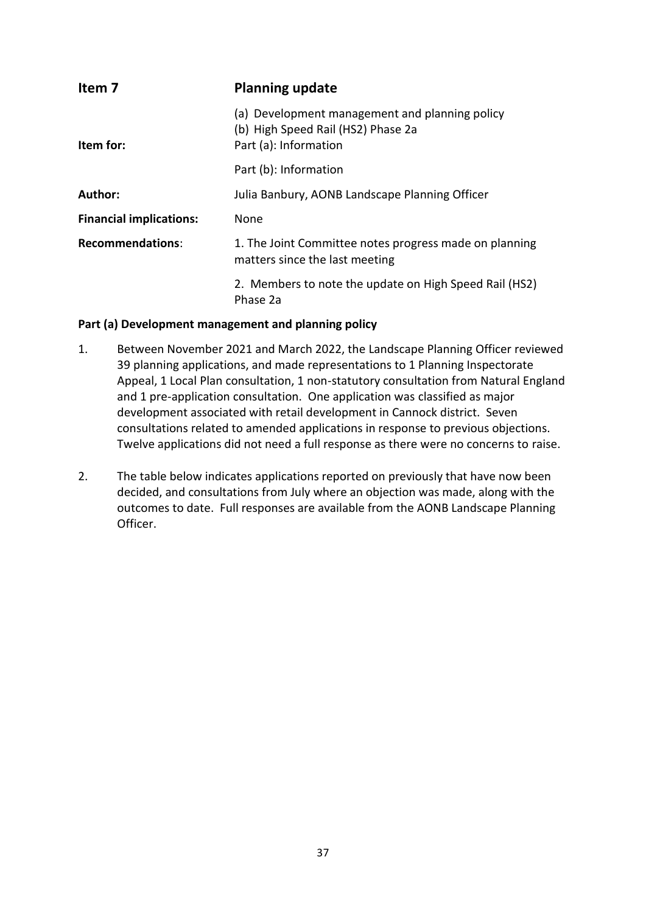<span id="page-36-0"></span>

| Item 7                         | <b>Planning update</b>                                                                                        |
|--------------------------------|---------------------------------------------------------------------------------------------------------------|
| Item for:                      | (a) Development management and planning policy<br>(b) High Speed Rail (HS2) Phase 2a<br>Part (a): Information |
|                                | Part (b): Information                                                                                         |
| Author:                        | Julia Banbury, AONB Landscape Planning Officer                                                                |
| <b>Financial implications:</b> | None                                                                                                          |
| <b>Recommendations:</b>        | 1. The Joint Committee notes progress made on planning<br>matters since the last meeting                      |
|                                | 2. Members to note the update on High Speed Rail (HS2)<br>Phase 2a                                            |

### **Part (a) Development management and planning policy**

- 1. Between November 2021 and March 2022, the Landscape Planning Officer reviewed 39 planning applications, and made representations to 1 Planning Inspectorate Appeal, 1 Local Plan consultation, 1 non-statutory consultation from Natural England and 1 pre-application consultation. One application was classified as major development associated with retail development in Cannock district. Seven consultations related to amended applications in response to previous objections. Twelve applications did not need a full response as there were no concerns to raise.
- 2. The table below indicates applications reported on previously that have now been decided, and consultations from July where an objection was made, along with the outcomes to date. Full responses are available from the AONB Landscape Planning Officer.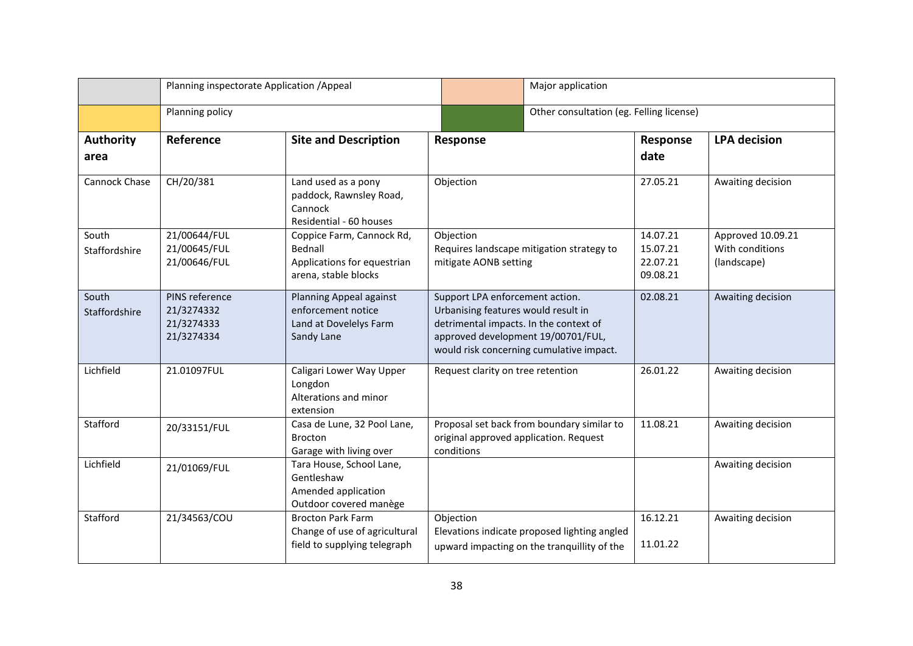|                          | Planning inspectorate Application / Appeal               |                                                                                             |                                                                                                                                                        | Major application                                                                           |                                              |                                                     |
|--------------------------|----------------------------------------------------------|---------------------------------------------------------------------------------------------|--------------------------------------------------------------------------------------------------------------------------------------------------------|---------------------------------------------------------------------------------------------|----------------------------------------------|-----------------------------------------------------|
|                          | Planning policy                                          |                                                                                             |                                                                                                                                                        | Other consultation (eg. Felling license)                                                    |                                              |                                                     |
| <b>Authority</b><br>area | Reference                                                | <b>Site and Description</b>                                                                 | Response                                                                                                                                               |                                                                                             | Response<br>date                             | <b>LPA</b> decision                                 |
| Cannock Chase            | CH/20/381                                                | Land used as a pony<br>paddock, Rawnsley Road,<br>Cannock<br>Residential - 60 houses        | Objection                                                                                                                                              |                                                                                             | 27.05.21                                     | Awaiting decision                                   |
| South<br>Staffordshire   | 21/00644/FUL<br>21/00645/FUL<br>21/00646/FUL             | Coppice Farm, Cannock Rd,<br>Bednall<br>Applications for equestrian<br>arena, stable blocks | Objection<br>mitigate AONB setting                                                                                                                     | Requires landscape mitigation strategy to                                                   | 14.07.21<br>15.07.21<br>22.07.21<br>09.08.21 | Approved 10.09.21<br>With conditions<br>(landscape) |
| South<br>Staffordshire   | PINS reference<br>21/3274332<br>21/3274333<br>21/3274334 | Planning Appeal against<br>enforcement notice<br>Land at Dovelelys Farm<br>Sandy Lane       | Support LPA enforcement action.<br>Urbanising features would result in<br>detrimental impacts. In the context of<br>approved development 19/00701/FUL, | would risk concerning cumulative impact.                                                    | 02.08.21                                     | Awaiting decision                                   |
| Lichfield                | 21.01097FUL                                              | Caligari Lower Way Upper<br>Longdon<br>Alterations and minor<br>extension                   | Request clarity on tree retention                                                                                                                      |                                                                                             | 26.01.22                                     | Awaiting decision                                   |
| Stafford                 | 20/33151/FUL                                             | Casa de Lune, 32 Pool Lane,<br><b>Brocton</b><br>Garage with living over                    | original approved application. Request<br>conditions                                                                                                   | Proposal set back from boundary similar to                                                  | 11.08.21                                     | Awaiting decision                                   |
| Lichfield                | 21/01069/FUL                                             | Tara House, School Lane,<br>Gentleshaw<br>Amended application<br>Outdoor covered manège     |                                                                                                                                                        |                                                                                             |                                              | Awaiting decision                                   |
| Stafford                 | 21/34563/COU                                             | <b>Brocton Park Farm</b><br>Change of use of agricultural<br>field to supplying telegraph   | Objection                                                                                                                                              | Elevations indicate proposed lighting angled<br>upward impacting on the tranquillity of the | 16.12.21<br>11.01.22                         | Awaiting decision                                   |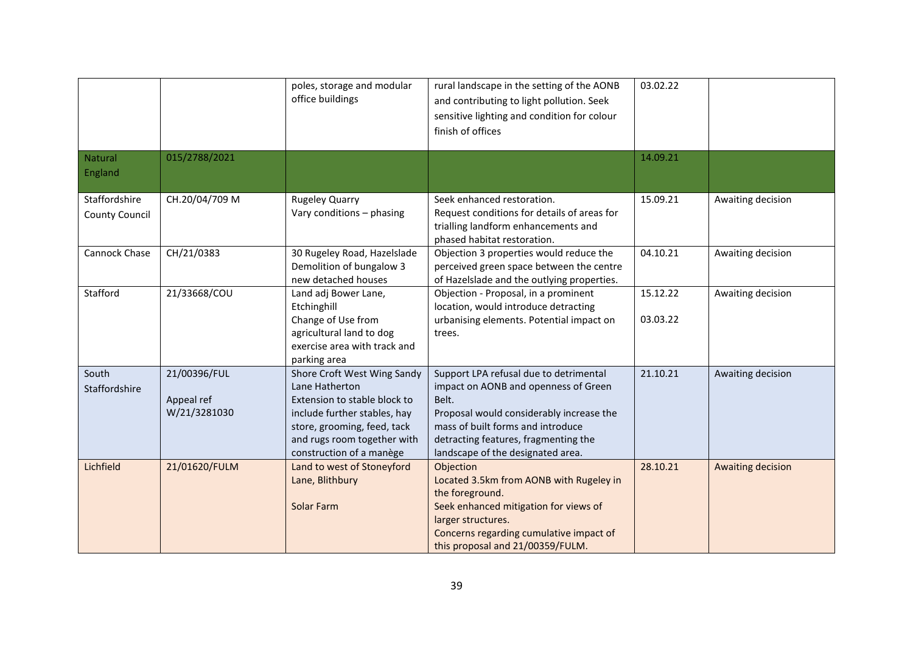|                                        |                                            | poles, storage and modular<br>office buildings                                                                                                                                                          | rural landscape in the setting of the AONB<br>and contributing to light pollution. Seek<br>sensitive lighting and condition for colour<br>finish of offices                                                                                           | 03.02.22             |                   |
|----------------------------------------|--------------------------------------------|---------------------------------------------------------------------------------------------------------------------------------------------------------------------------------------------------------|-------------------------------------------------------------------------------------------------------------------------------------------------------------------------------------------------------------------------------------------------------|----------------------|-------------------|
| Natural<br>England                     | 015/2788/2021                              |                                                                                                                                                                                                         |                                                                                                                                                                                                                                                       | 14.09.21             |                   |
| Staffordshire<br><b>County Council</b> | CH.20/04/709 M                             | <b>Rugeley Quarry</b><br>Vary conditions - phasing                                                                                                                                                      | Seek enhanced restoration.<br>Request conditions for details of areas for<br>trialling landform enhancements and<br>phased habitat restoration.                                                                                                       | 15.09.21             | Awaiting decision |
| Cannock Chase                          | CH/21/0383                                 | 30 Rugeley Road, Hazelslade<br>Demolition of bungalow 3<br>new detached houses                                                                                                                          | Objection 3 properties would reduce the<br>perceived green space between the centre<br>of Hazelslade and the outlying properties.                                                                                                                     | 04.10.21             | Awaiting decision |
| Stafford                               | 21/33668/COU                               | Land adj Bower Lane,<br>Etchinghill<br>Change of Use from<br>agricultural land to dog<br>exercise area with track and<br>parking area                                                                   | Objection - Proposal, in a prominent<br>location, would introduce detracting<br>urbanising elements. Potential impact on<br>trees.                                                                                                                    | 15.12.22<br>03.03.22 | Awaiting decision |
| South<br>Staffordshire                 | 21/00396/FUL<br>Appeal ref<br>W/21/3281030 | Shore Croft West Wing Sandy<br>Lane Hatherton<br>Extension to stable block to<br>include further stables, hay<br>store, grooming, feed, tack<br>and rugs room together with<br>construction of a manège | Support LPA refusal due to detrimental<br>impact on AONB and openness of Green<br>Belt.<br>Proposal would considerably increase the<br>mass of built forms and introduce<br>detracting features, fragmenting the<br>landscape of the designated area. | 21.10.21             | Awaiting decision |
| Lichfield                              | 21/01620/FULM                              | Land to west of Stoneyford<br>Lane, Blithbury<br>Solar Farm                                                                                                                                             | Objection<br>Located 3.5km from AONB with Rugeley in<br>the foreground.<br>Seek enhanced mitigation for views of<br>larger structures.<br>Concerns regarding cumulative impact of<br>this proposal and 21/00359/FULM.                                 | 28.10.21             | Awaiting decision |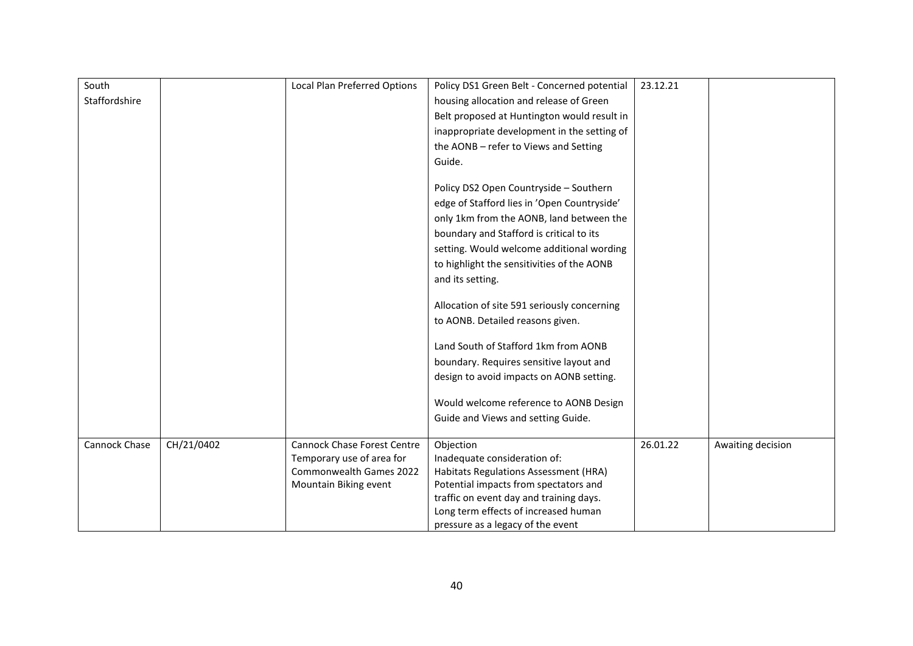| South         |            | <b>Local Plan Preferred Options</b> | Policy DS1 Green Belt - Concerned potential | 23.12.21 |                   |
|---------------|------------|-------------------------------------|---------------------------------------------|----------|-------------------|
| Staffordshire |            |                                     | housing allocation and release of Green     |          |                   |
|               |            |                                     | Belt proposed at Huntington would result in |          |                   |
|               |            |                                     | inappropriate development in the setting of |          |                   |
|               |            |                                     | the AONB - refer to Views and Setting       |          |                   |
|               |            |                                     | Guide.                                      |          |                   |
|               |            |                                     |                                             |          |                   |
|               |            |                                     | Policy DS2 Open Countryside - Southern      |          |                   |
|               |            |                                     | edge of Stafford lies in 'Open Countryside' |          |                   |
|               |            |                                     | only 1km from the AONB, land between the    |          |                   |
|               |            |                                     | boundary and Stafford is critical to its    |          |                   |
|               |            |                                     | setting. Would welcome additional wording   |          |                   |
|               |            |                                     | to highlight the sensitivities of the AONB  |          |                   |
|               |            |                                     | and its setting.                            |          |                   |
|               |            |                                     |                                             |          |                   |
|               |            |                                     | Allocation of site 591 seriously concerning |          |                   |
|               |            |                                     | to AONB. Detailed reasons given.            |          |                   |
|               |            |                                     |                                             |          |                   |
|               |            |                                     | Land South of Stafford 1km from AONB        |          |                   |
|               |            |                                     | boundary. Requires sensitive layout and     |          |                   |
|               |            |                                     | design to avoid impacts on AONB setting.    |          |                   |
|               |            |                                     | Would welcome reference to AONB Design      |          |                   |
|               |            |                                     | Guide and Views and setting Guide.          |          |                   |
|               |            |                                     |                                             |          |                   |
| Cannock Chase | CH/21/0402 | <b>Cannock Chase Forest Centre</b>  | Objection                                   | 26.01.22 | Awaiting decision |
|               |            | Temporary use of area for           | Inadequate consideration of:                |          |                   |
|               |            | Commonwealth Games 2022             | Habitats Regulations Assessment (HRA)       |          |                   |
|               |            | Mountain Biking event               | Potential impacts from spectators and       |          |                   |
|               |            |                                     | traffic on event day and training days.     |          |                   |
|               |            |                                     | Long term effects of increased human        |          |                   |
|               |            |                                     | pressure as a legacy of the event           |          |                   |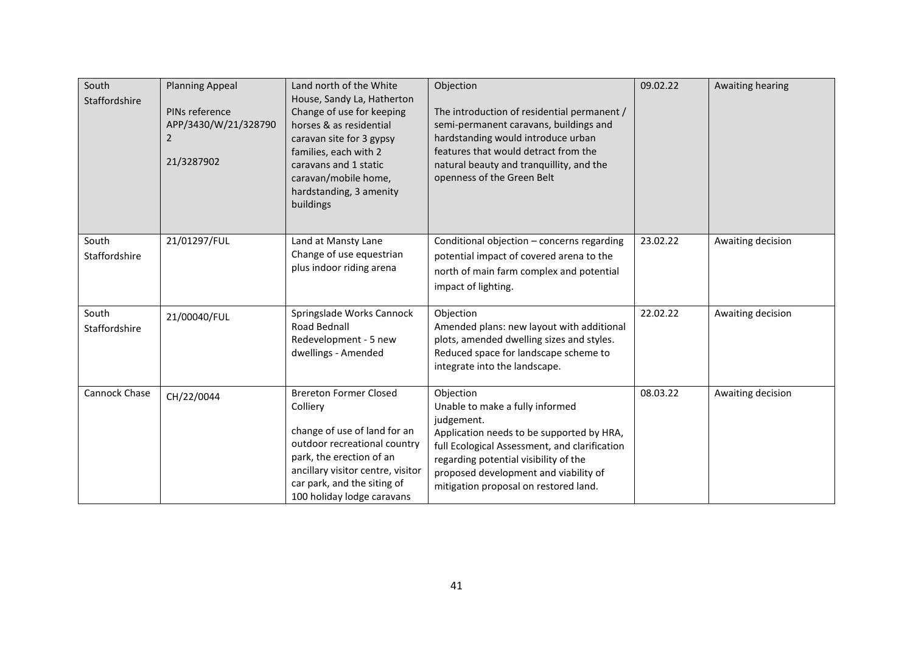| South<br>Staffordshire | <b>Planning Appeal</b><br>PINs reference<br>APP/3430/W/21/328790<br>2<br>21/3287902 | Land north of the White<br>House, Sandy La, Hatherton<br>Change of use for keeping<br>horses & as residential<br>caravan site for 3 gypsy<br>families, each with 2<br>caravans and 1 static<br>caravan/mobile home,<br>hardstanding, 3 amenity<br>buildings | Objection<br>The introduction of residential permanent /<br>semi-permanent caravans, buildings and<br>hardstanding would introduce urban<br>features that would detract from the<br>natural beauty and tranquillity, and the<br>openness of the Green Belt                          | 09.02.22 | Awaiting hearing  |
|------------------------|-------------------------------------------------------------------------------------|-------------------------------------------------------------------------------------------------------------------------------------------------------------------------------------------------------------------------------------------------------------|-------------------------------------------------------------------------------------------------------------------------------------------------------------------------------------------------------------------------------------------------------------------------------------|----------|-------------------|
| South<br>Staffordshire | 21/01297/FUL                                                                        | Land at Mansty Lane<br>Change of use equestrian<br>plus indoor riding arena                                                                                                                                                                                 | Conditional objection - concerns regarding<br>potential impact of covered arena to the<br>north of main farm complex and potential<br>impact of lighting.                                                                                                                           | 23.02.22 | Awaiting decision |
| South<br>Staffordshire | 21/00040/FUL                                                                        | Springslade Works Cannock<br>Road Bednall<br>Redevelopment - 5 new<br>dwellings - Amended                                                                                                                                                                   | Objection<br>Amended plans: new layout with additional<br>plots, amended dwelling sizes and styles.<br>Reduced space for landscape scheme to<br>integrate into the landscape.                                                                                                       | 22.02.22 | Awaiting decision |
| <b>Cannock Chase</b>   | CH/22/0044                                                                          | <b>Brereton Former Closed</b><br>Colliery<br>change of use of land for an<br>outdoor recreational country<br>park, the erection of an<br>ancillary visitor centre, visitor<br>car park, and the siting of<br>100 holiday lodge caravans                     | Objection<br>Unable to make a fully informed<br>judgement.<br>Application needs to be supported by HRA,<br>full Ecological Assessment, and clarification<br>regarding potential visibility of the<br>proposed development and viability of<br>mitigation proposal on restored land. | 08.03.22 | Awaiting decision |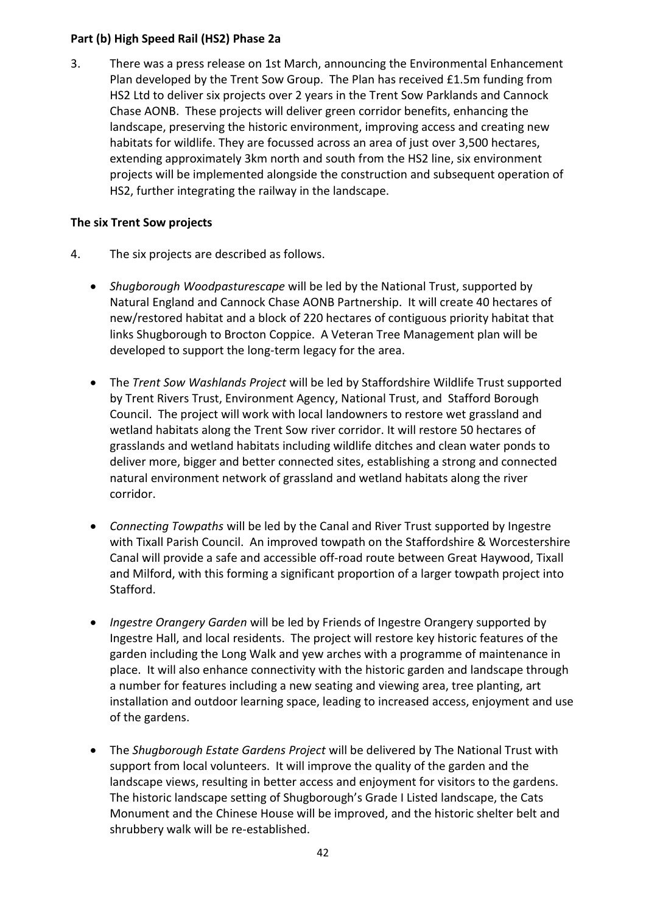### **Part (b) High Speed Rail (HS2) Phase 2a**

3. There was a press release on 1st March, announcing the Environmental Enhancement Plan developed by the Trent Sow Group. The Plan has received £1.5m funding from HS2 Ltd to deliver six projects over 2 years in the Trent Sow Parklands and Cannock Chase AONB. These projects will deliver green corridor benefits, enhancing the landscape, preserving the historic environment, improving access and creating new habitats for wildlife. They are focussed across an area of just over 3,500 hectares, extending approximately 3km north and south from the HS2 line, six environment projects will be implemented alongside the construction and subsequent operation of HS2, further integrating the railway in the landscape.

### **The six Trent Sow projects**

- 4. The six projects are described as follows.
	- *Shugborough Woodpasturescape* will be led by the National Trust, supported by Natural England and Cannock Chase AONB Partnership. It will create 40 hectares of new/restored habitat and a block of 220 hectares of contiguous priority habitat that links Shugborough to Brocton Coppice. A Veteran Tree Management plan will be developed to support the long-term legacy for the area.
	- The *Trent Sow Washlands Project* will be led by Staffordshire Wildlife Trust supported by Trent Rivers Trust, Environment Agency, National Trust, and Stafford Borough Council. The project will work with local landowners to restore wet grassland and wetland habitats along the Trent Sow river corridor. It will restore 50 hectares of grasslands and wetland habitats including wildlife ditches and clean water ponds to deliver more, bigger and better connected sites, establishing a strong and connected natural environment network of grassland and wetland habitats along the river corridor.
	- *Connecting Towpaths* will be led by the Canal and River Trust supported by Ingestre with Tixall Parish Council. An improved towpath on the Staffordshire & Worcestershire Canal will provide a safe and accessible off-road route between Great Haywood, Tixall and Milford, with this forming a significant proportion of a larger towpath project into Stafford.
	- *Ingestre Orangery Garden* will be led by Friends of Ingestre Orangery supported by Ingestre Hall, and local residents. The project will restore key historic features of the garden including the Long Walk and yew arches with a programme of maintenance in place. It will also enhance connectivity with the historic garden and landscape through a number for features including a new seating and viewing area, tree planting, art installation and outdoor learning space, leading to increased access, enjoyment and use of the gardens.
	- The *Shugborough Estate Gardens Project* will be delivered by The National Trust with support from local volunteers. It will improve the quality of the garden and the landscape views, resulting in better access and enjoyment for visitors to the gardens. The historic landscape setting of Shugborough's Grade I Listed landscape, the Cats Monument and the Chinese House will be improved, and the historic shelter belt and shrubbery walk will be re-established.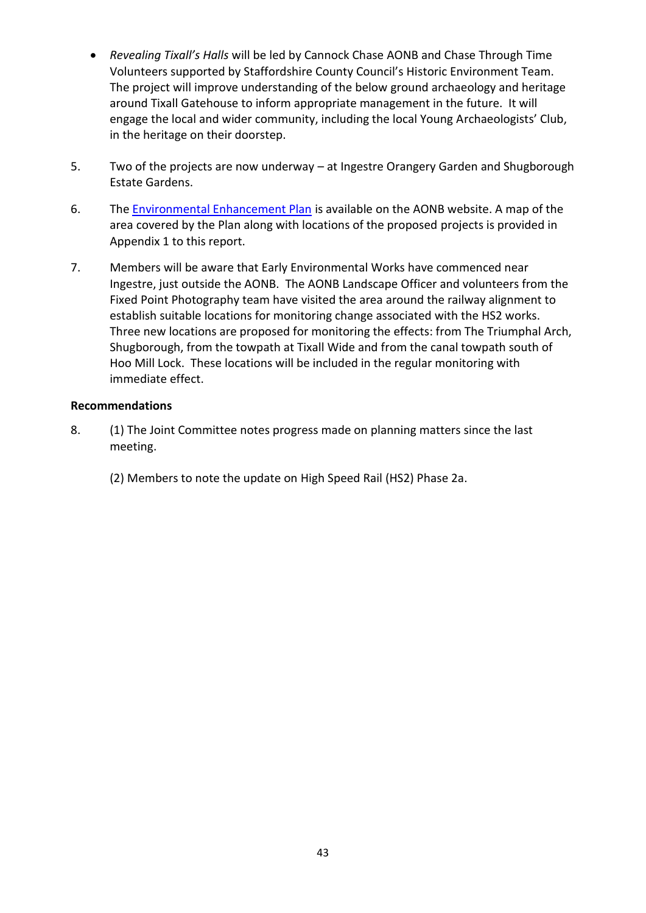- *Revealing Tixall's Halls* will be led by Cannock Chase AONB and Chase Through Time Volunteers supported by Staffordshire County Council's Historic Environment Team. The project will improve understanding of the below ground archaeology and heritage around Tixall Gatehouse to inform appropriate management in the future. It will engage the local and wider community, including the local Young Archaeologists' Club, in the heritage on their doorstep.
- 5. Two of the projects are now underway at Ingestre Orangery Garden and Shugborough Estate Gardens.
- 6. The [Environmental Enhancement Plan](https://www.cannock-chase.co.uk/wp-content/uploads/2022/02/10726-Trent-Sow-HS2-Stage-2-EEP-Report.pdf) is available on the AONB website. A map of the area covered by the Plan along with locations of the proposed projects is provided in Appendix 1 to this report.
- 7. Members will be aware that Early Environmental Works have commenced near Ingestre, just outside the AONB. The AONB Landscape Officer and volunteers from the Fixed Point Photography team have visited the area around the railway alignment to establish suitable locations for monitoring change associated with the HS2 works. Three new locations are proposed for monitoring the effects: from The Triumphal Arch, Shugborough, from the towpath at Tixall Wide and from the canal towpath south of Hoo Mill Lock. These locations will be included in the regular monitoring with immediate effect.

### **Recommendations**

- 8. (1) The Joint Committee notes progress made on planning matters since the last meeting.
	- (2) Members to note the update on High Speed Rail (HS2) Phase 2a.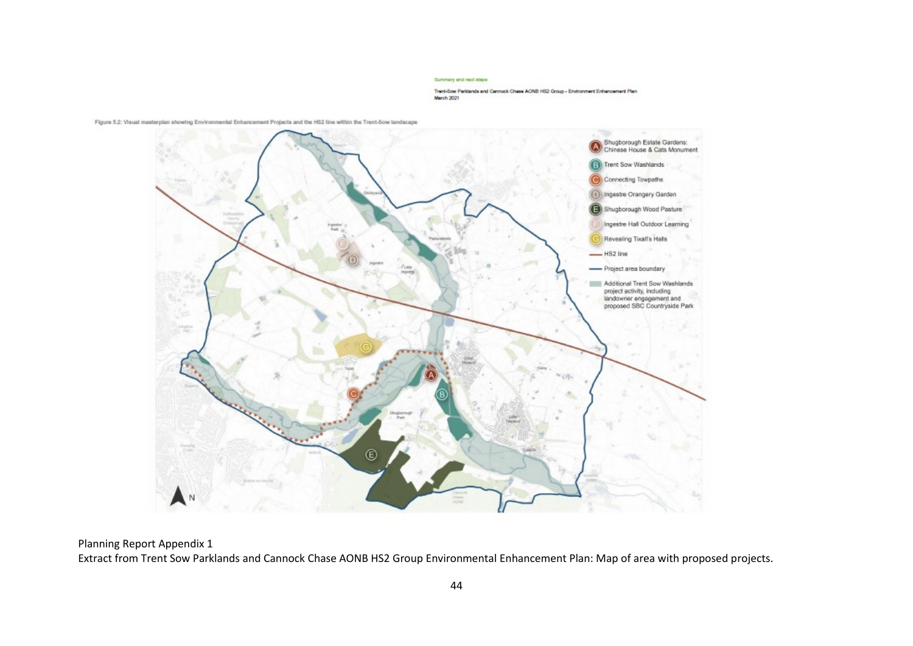#### Summary and rect steps

Trent-Sow Parklands and Cannock Chase AONB HS2 Group - Environment Enhancement Plan March 2021



Figure 5.2: Visual masterplan showing Environmental Enhancement Projects and the HS2 line within the Trent-Sow landscape

Planning Report Appendix 1 Extract from Trent Sow Parklands and Cannock Chase AONB HS2 Group Environmental Enhancement Plan: Map of area with proposed projects.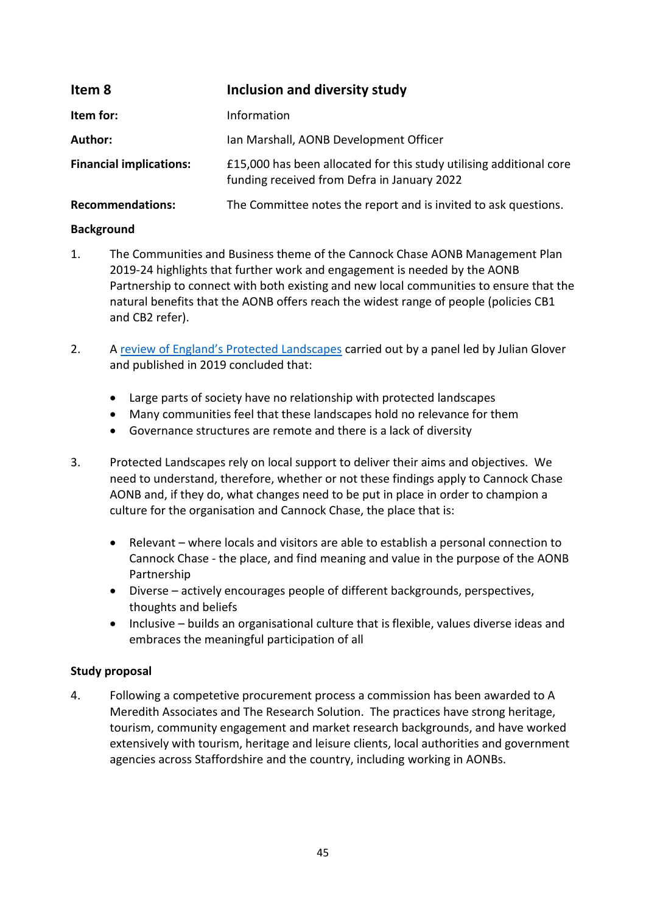<span id="page-44-0"></span>

| Item 8                         | Inclusion and diversity study                                                                                      |
|--------------------------------|--------------------------------------------------------------------------------------------------------------------|
| Item for:                      | Information                                                                                                        |
| Author:                        | Ian Marshall, AONB Development Officer                                                                             |
| <b>Financial implications:</b> | £15,000 has been allocated for this study utilising additional core<br>funding received from Defra in January 2022 |
| <b>Recommendations:</b>        | The Committee notes the report and is invited to ask questions.                                                    |

### **Background**

- 1. The Communities and Business theme of the Cannock Chase AONB Management Plan 2019-24 highlights that further work and engagement is needed by the AONB Partnership to connect with both existing and new local communities to ensure that the natural benefits that the AONB offers reach the widest range of people (policies CB1 and CB2 refer).
- 2. A [review of England's Protected Landscapes](https://www.gov.uk/government/publications/designated-landscapes-national-parks-and-aonbs-2018-review) carried out by a panel led by Julian Glover and published in 2019 concluded that:
	- Large parts of society have no relationship with protected landscapes
	- Many communities feel that these landscapes hold no relevance for them
	- Governance structures are remote and there is a lack of diversity
- 3. Protected Landscapes rely on local support to deliver their aims and objectives. We need to understand, therefore, whether or not these findings apply to Cannock Chase AONB and, if they do, what changes need to be put in place in order to champion a culture for the organisation and Cannock Chase, the place that is:
	- Relevant where locals and visitors are able to establish a personal connection to Cannock Chase - the place, and find meaning and value in the purpose of the AONB Partnership
	- Diverse actively encourages people of different backgrounds, perspectives, thoughts and beliefs
	- Inclusive builds an organisational culture that is flexible, values diverse ideas and embraces the meaningful participation of all

### **Study proposal**

4. Following a competetive procurement process a commission has been awarded to A Meredith Associates and The Research Solution. The practices have strong heritage, tourism, community engagement and market research backgrounds, and have worked extensively with tourism, heritage and leisure clients, local authorities and government agencies across Staffordshire and the country, including working in AONBs.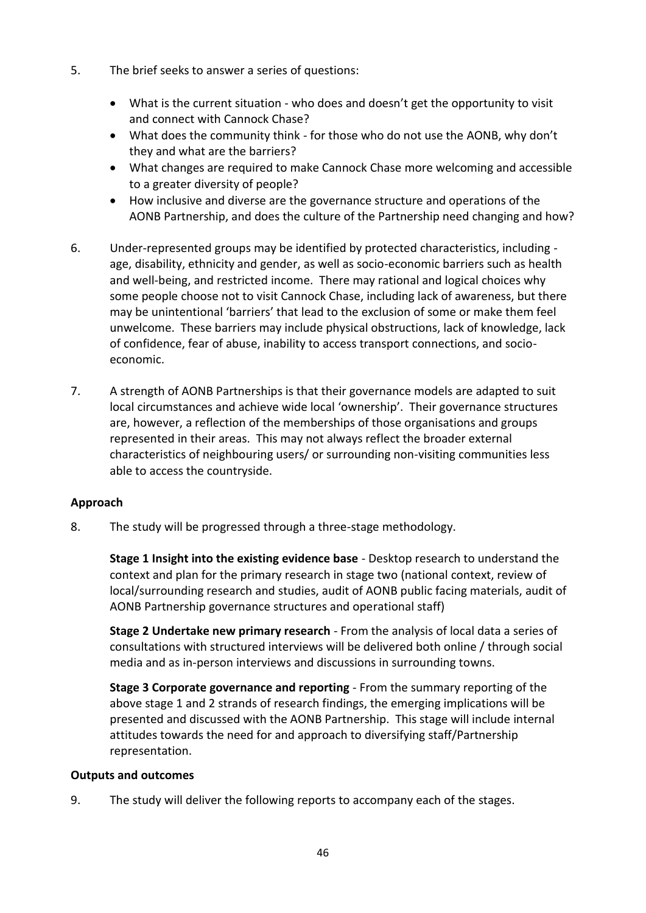- 5. The brief seeks to answer a series of questions:
	- What is the current situation who does and doesn't get the opportunity to visit and connect with Cannock Chase?
	- What does the community think for those who do not use the AONB, why don't they and what are the barriers?
	- What changes are required to make Cannock Chase more welcoming and accessible to a greater diversity of people?
	- How inclusive and diverse are the governance structure and operations of the AONB Partnership, and does the culture of the Partnership need changing and how?
- 6. Under-represented groups may be identified by protected characteristics, including age, disability, ethnicity and gender, as well as socio-economic barriers such as health and well-being, and restricted income. There may rational and logical choices why some people choose not to visit Cannock Chase, including lack of awareness, but there may be unintentional 'barriers' that lead to the exclusion of some or make them feel unwelcome. These barriers may include physical obstructions, lack of knowledge, lack of confidence, fear of abuse, inability to access transport connections, and socioeconomic.
- 7. A strength of AONB Partnerships is that their governance models are adapted to suit local circumstances and achieve wide local 'ownership'. Their governance structures are, however, a reflection of the memberships of those organisations and groups represented in their areas. This may not always reflect the broader external characteristics of neighbouring users/ or surrounding non-visiting communities less able to access the countryside.

### **Approach**

8. The study will be progressed through a three-stage methodology.

**Stage 1 Insight into the existing evidence base** - Desktop research to understand the context and plan for the primary research in stage two (national context, review of local/surrounding research and studies, audit of AONB public facing materials, audit of AONB Partnership governance structures and operational staff)

**Stage 2 Undertake new primary research** - From the analysis of local data a series of consultations with structured interviews will be delivered both online / through social media and as in-person interviews and discussions in surrounding towns.

**Stage 3 Corporate governance and reporting** - From the summary reporting of the above stage 1 and 2 strands of research findings, the emerging implications will be presented and discussed with the AONB Partnership. This stage will include internal attitudes towards the need for and approach to diversifying staff/Partnership representation.

### **Outputs and outcomes**

9. The study will deliver the following reports to accompany each of the stages.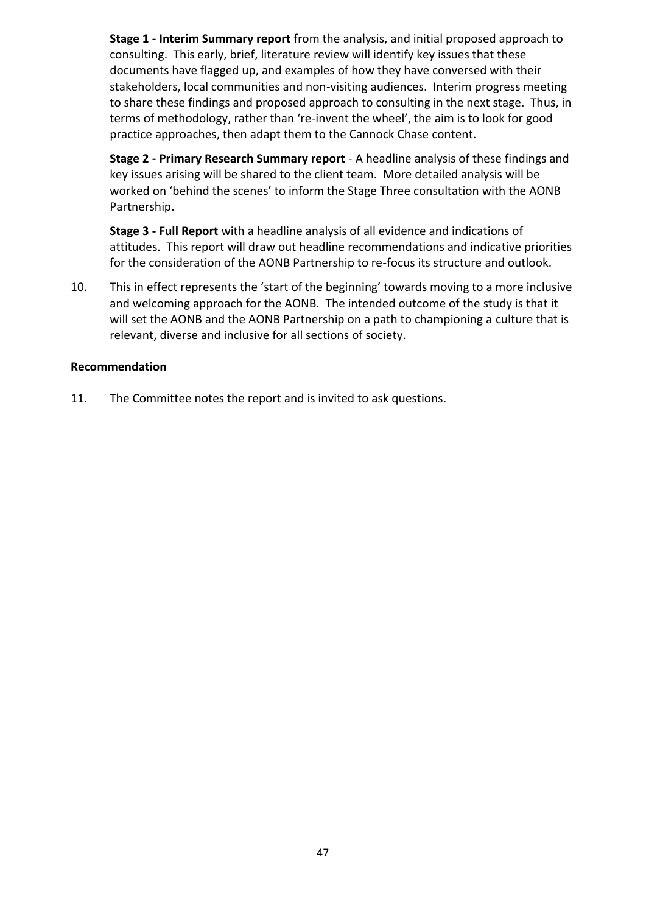**Stage 1 - Interim Summary report** from the analysis, and initial proposed approach to consulting. This early, brief, literature review will identify key issues that these documents have flagged up, and examples of how they have conversed with their stakeholders, local communities and non-visiting audiences. Interim progress meeting to share these findings and proposed approach to consulting in the next stage. Thus, in terms of methodology, rather than 're-invent the wheel', the aim is to look for good practice approaches, then adapt them to the Cannock Chase content.

**Stage 2 - Primary Research Summary report** - A headline analysis of these findings and key issues arising will be shared to the client team. More detailed analysis will be worked on 'behind the scenes' to inform the Stage Three consultation with the AONB Partnership.

**Stage 3 - Full Report** with a headline analysis of all evidence and indications of attitudes. This report will draw out headline recommendations and indicative priorities for the consideration of the AONB Partnership to re-focus its structure and outlook.

10. This in effect represents the 'start of the beginning' towards moving to a more inclusive and welcoming approach for the AONB. The intended outcome of the study is that it will set the AONB and the AONB Partnership on a path to championing a culture that is relevant, diverse and inclusive for all sections of society.

### **Recommendation**

11. The Committee notes the report and is invited to ask questions.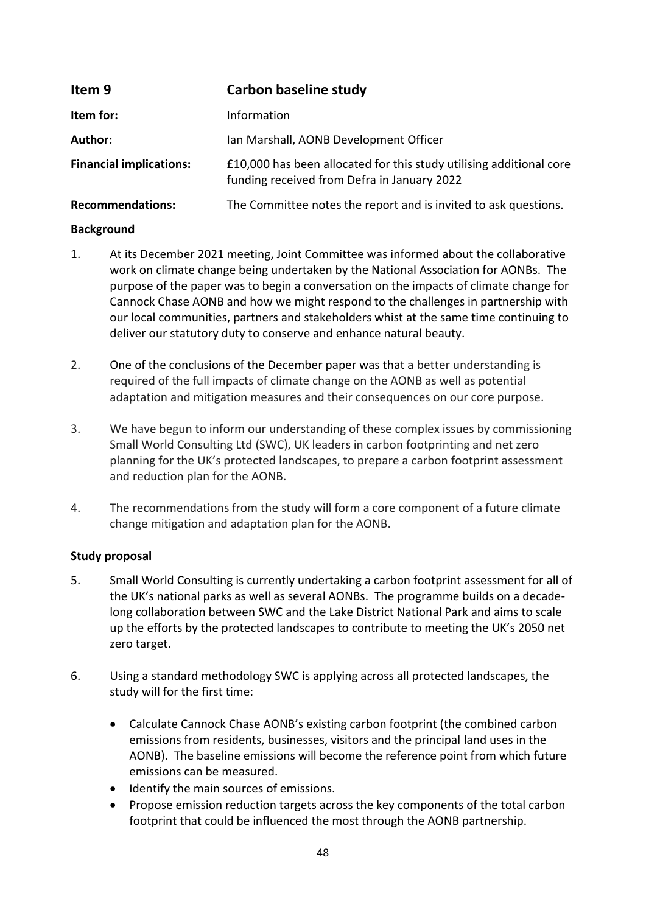<span id="page-47-0"></span>

| Item 9                         | Carbon baseline study                                                                                              |
|--------------------------------|--------------------------------------------------------------------------------------------------------------------|
| Item for:                      | Information                                                                                                        |
| Author:                        | Ian Marshall, AONB Development Officer                                                                             |
| <b>Financial implications:</b> | £10,000 has been allocated for this study utilising additional core<br>funding received from Defra in January 2022 |
| <b>Recommendations:</b>        | The Committee notes the report and is invited to ask questions.                                                    |

### **Background**

- 1. At its December 2021 meeting, Joint Committee was informed about the collaborative work on climate change being undertaken by the National Association for AONBs. The purpose of the paper was to begin a conversation on the impacts of climate change for Cannock Chase AONB and how we might respond to the challenges in partnership with our local communities, partners and stakeholders whist at the same time continuing to deliver our statutory duty to conserve and enhance natural beauty.
- 2. One of the conclusions of the December paper was that a better understanding is required of the full impacts of climate change on the AONB as well as potential adaptation and mitigation measures and their consequences on our core purpose.
- 3. We have begun to inform our understanding of these complex issues by commissioning Small World Consulting Ltd (SWC), UK leaders in carbon footprinting and net zero planning for the UK's protected landscapes, to prepare a carbon footprint assessment and reduction plan for the AONB.
- 4. The recommendations from the study will form a core component of a future climate change mitigation and adaptation plan for the AONB.

### **Study proposal**

- 5. Small World Consulting is currently undertaking a carbon footprint assessment for all of the UK's national parks as well as several AONBs. The programme builds on a decadelong collaboration between SWC and the Lake District National Park and aims to scale up the efforts by the protected landscapes to contribute to meeting the UK's 2050 net zero target.
- 6. Using a standard methodology SWC is applying across all protected landscapes, the study will for the first time:
	- Calculate Cannock Chase AONB's existing carbon footprint (the combined carbon emissions from residents, businesses, visitors and the principal land uses in the AONB). The baseline emissions will become the reference point from which future emissions can be measured.
	- Identify the main sources of emissions.
	- Propose emission reduction targets across the key components of the total carbon footprint that could be influenced the most through the AONB partnership.